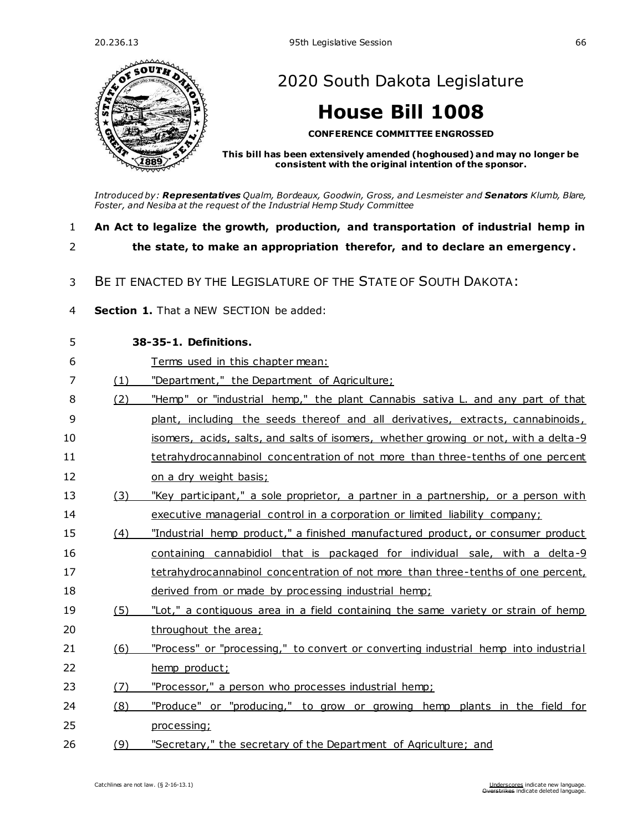

[2020 South Dakota Legislature](https://sdlegislature.gov/Legislative_Session/Bills/Default.aspx?Session=2020)

## **[House Bill 1008](https://sdlegislature.gov/Legislative_Session/Bills/Bill.aspx?Bill=1008&Session=2020)**

**CONFERENCE COMMITTEE ENGROSSED**

**This bill has been extensively amended (hoghoused) and may no longer be consistent with the original intention of the sponsor.**

*Introduced by: Representatives [Qualm, Bordeaux,](https://sdlegislature.gov/Legislators/Legislators/MemberDetail.aspx?Session=2020&Member=1725&Cleaned=True) [Goodwin, Gross, a](https://sdlegislature.gov/Legislators/Legislators/MemberDetail.aspx?Session=2020&Member=1744&Cleaned=True)n[d Lesmeister](https://sdlegislature.gov/Legislators/Legislators/MemberDetail.aspx?Session=2020&Member=1655&Cleaned=True) and Senators [Klumb, Blare,](https://sdlegislature.gov/Legislators/Legislators/MemberDetail.aspx?Session=2020&Member=1717&Cleaned=True)  [Foster, a](https://sdlegislature.gov/Legislators/Legislators/MemberDetail.aspx?Session=2020&Member=1659&Cleaned=True)n[d Nesiba](https://sdlegislature.gov/Legislators/Legislators/MemberDetail.aspx?Session=2020&Member=1651&Cleaned=True) at the request of the Industrial Hemp Study Committee*

- 1 **An Act to legalize the growth, production, and transportation of industrial hemp in**
- 

2 **the state, to make an appropriation therefor, and to declare an emergency.**

- 3 BE IT ENACTED BY THE LEGISLATURE OF THE STATE OF SOUTH DAKOTA:
- 4 **Section 1.** That a NEW SECTION be added:

| 5              |     | 38-35-1. Definitions.                                                               |
|----------------|-----|-------------------------------------------------------------------------------------|
| 6              |     | Terms used in this chapter mean:                                                    |
| $\overline{7}$ | (1) | "Department," the Department of Agriculture;                                        |
| 8              | (2) | "Hemp" or "industrial hemp," the plant Cannabis sativa L. and any part of that      |
| 9              |     | plant, including the seeds thereof and all derivatives, extracts, cannabinoids,     |
| 10             |     | isomers, acids, salts, and salts of isomers, whether growing or not, with a delta-9 |
| 11             |     | tetrahydrocannabinol concentration of not more than three-tenths of one percent     |
| 12             |     | on a dry weight basis;                                                              |
| 13             | (3) | "Key participant," a sole proprietor, a partner in a partnership, or a person with  |
| 14             |     | executive managerial control in a corporation or limited liability company;         |
| 15             | (4) | "Industrial hemp product," a finished manufactured product, or consumer product     |
| 16             |     | containing cannabidiol that is packaged for individual sale, with a delta-9         |
| 17             |     | tetrahydrocannabinol concentration of not more than three-tenths of one percent,    |
| 18             |     | derived from or made by processing industrial hemp;                                 |
| 19             | (5) | "Lot," a contiguous area in a field containing the same variety or strain of hemp   |
| 20             |     | throughout the area;                                                                |
| 21             | (6) | "Process" or "processing," to convert or converting industrial hemp into industrial |
| 22             |     | hemp product;                                                                       |
| 23             | (7) | "Processor," a person who processes industrial hemp;                                |
| 24             | (8) | "Produce" or "producing," to grow or growing hemp plants in the field for           |
| 25             |     | processing;                                                                         |
| 26             | (9) | "Secretary," the secretary of the Department of Agriculture; and                    |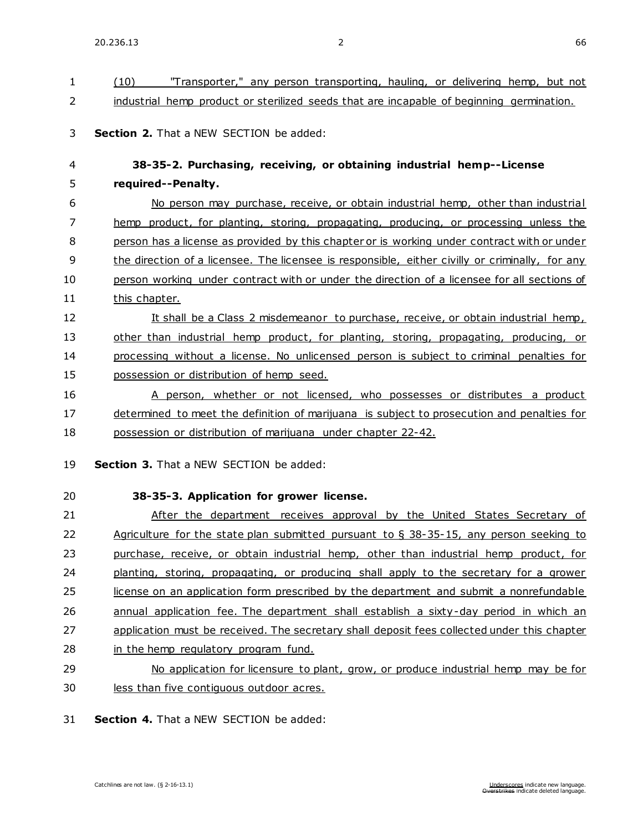| $\mathbf{1}$   | "Transporter," any person transporting, hauling, or delivering hemp, but not<br>(10)            |
|----------------|-------------------------------------------------------------------------------------------------|
| 2              | industrial hemp product or sterilized seeds that are incapable of beginning germination.        |
| 3              | <b>Section 2.</b> That a NEW SECTION be added:                                                  |
| 4              | 38-35-2. Purchasing, receiving, or obtaining industrial hemp--License                           |
| 5              | required--Penalty.                                                                              |
| 6              | No person may purchase, receive, or obtain industrial hemp, other than industrial               |
| $\overline{7}$ | hemp product, for planting, storing, propagating, producing, or processing unless the           |
| 8              | person has a license as provided by this chapter or is working under contract with or under     |
| 9              | the direction of a licensee. The licensee is responsible, either civilly or criminally, for any |
| 10             | person working under contract with or under the direction of a licensee for all sections of     |
| 11             | this chapter.                                                                                   |
| 12             | It shall be a Class 2 misdemeanor to purchase, receive, or obtain industrial hemp,              |
| 13             | other than industrial hemp product, for planting, storing, propagating, producing, or           |
| 14             | processing without a license. No unlicensed person is subject to criminal penalties for         |
| 15             | possession or distribution of hemp seed.                                                        |
| 16             | A person, whether or not licensed, who possesses or distributes a product                       |
| 17             | determined to meet the definition of marijuana is subject to prosecution and penalties for      |
| 18             | possession or distribution of marijuana under chapter 22-42.                                    |
| 19             | Section 3. That a NEW SECTION be added:                                                         |
| 20             | 38-35-3. Application for grower license.                                                        |
| 21             | After the department receives approval by the United States Secretary of                        |
| 22             | Agriculture for the state plan submitted pursuant to $\S$ 38-35-15, any person seeking to       |
| 23             | purchase, receive, or obtain industrial hemp, other than industrial hemp product, for           |
| 24             | planting, storing, propagating, or producing shall apply to the secretary for a grower          |
| 25             | license on an application form prescribed by the department and submit a nonrefundable          |
| 26             | annual application fee. The department shall establish a sixty-day period in which an           |
| 27             | application must be received. The secretary shall deposit fees collected under this chapter     |
| 28             | in the hemp regulatory program fund.                                                            |
| 29             | No application for licensure to plant, grow, or produce industrial hemp may be for              |
| 30             | less than five contiquous outdoor acres.                                                        |

31 **Section 4.** That a NEW SECTION be added: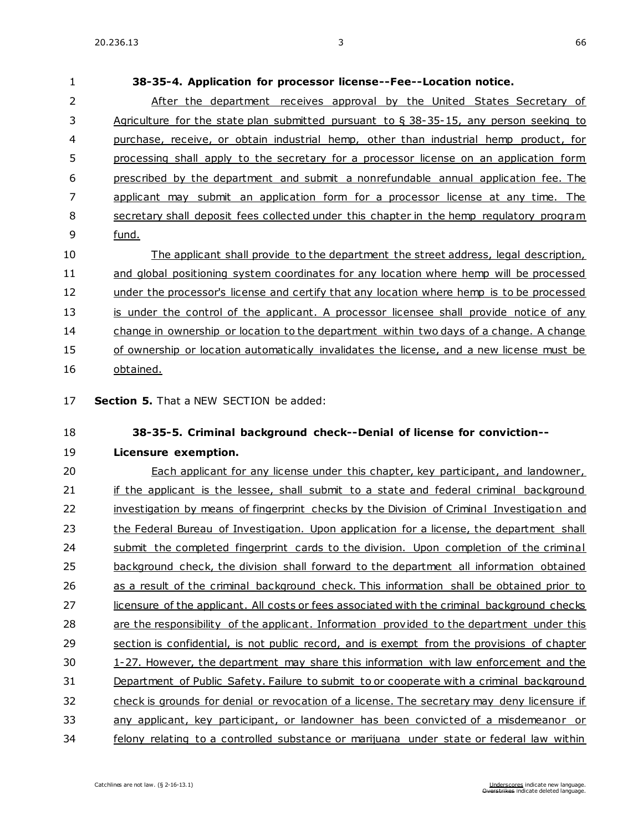**38-35-4. Application for processor license--Fee--Location notice.**

 After the department receives approval by the United States Secretary of Agriculture for the state plan submitted pursuant to § 38-35-15, any person seeking to purchase, receive, or obtain industrial hemp, other than industrial hemp product, for processing shall apply to the secretary for a processor license on an application form prescribed by the department and submit a nonrefundable annual application fee. The applicant may submit an application form for a processor license at any time. The secretary shall deposit fees collected under this chapter in the hemp regulatory program fund. The applicant shall provide to the department the street address, legal description, and global positioning system coordinates for any location where hemp will be processed 12 under the processor's license and certify that any location where hemp is to be processed 13 is under the control of the applicant. A processor licensee shall provide notice of any change in ownership or location to the department within two days of a change. A change of ownership or location automatically invalidates the license, and a new license must be obtained. **Section 5.** That a NEW SECTION be added: **38-35-5. Criminal background check--Denial of license for conviction-- Licensure exemption.** Each applicant for any license under this chapter, key participant, and landowner, 21 if the applicant is the lessee, shall submit to a state and federal criminal background 22 investigation by means of fingerprint checks by the Division of Criminal Investigation and 23 the Federal Bureau of Investigation. Upon application for a license, the department shall 24 submit the completed fingerprint cards to the division. Upon completion of the criminal background check, the division shall forward to the department all information obtained 26 as a result of the criminal background check. This information shall be obtained prior to 27 licensure of the applicant. All costs or fees associated with the criminal background checks are the responsibility of the applicant. Information provided to the department under this section is confidential, is not public record, and is exempt from the provisions of chapter

 [1-27.](https://sdlegislature.gov/Statutes/Codified_Laws/DisplayStatute.aspx?Type=Statute&Statute=1-27) However, the department may share this information with law enforcement and the Department of Public Safety. Failure to submit to or cooperate with a criminal background

check is grounds for denial or revocation of a license. The secretary may deny licensure if

any applicant, key participant, or landowner has been convicted of a misdemeanor or

felony relating to a controlled substance or marijuana under state or federal law within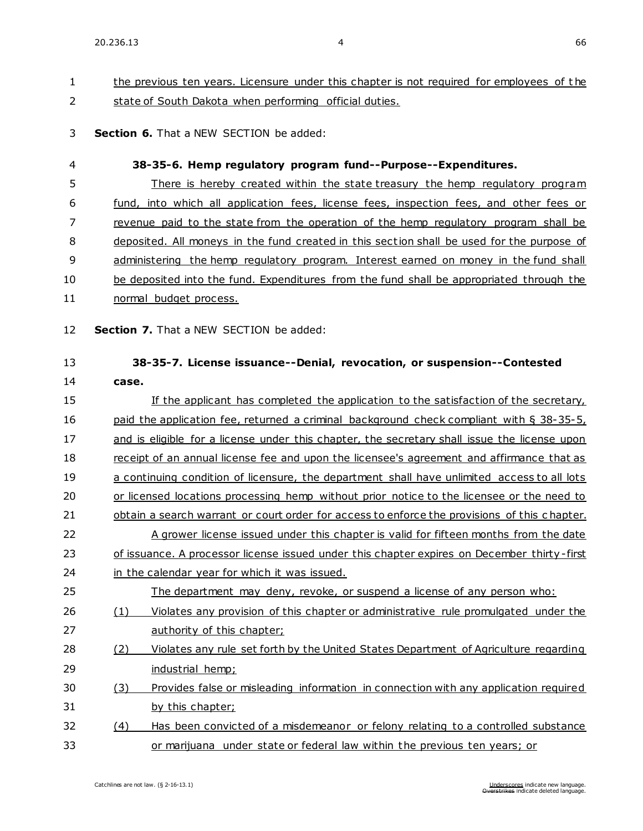### 1 the previous ten years. Licensure under this chapter is not required for employees of the 2 state of South Dakota when performing official duties.

#### 3 **Section 6.** That a NEW SECTION be added:

| 4        | 38-35-6. Hemp regulatory program fund--Purpose--Expenditures.                                                                                                                             |  |  |
|----------|-------------------------------------------------------------------------------------------------------------------------------------------------------------------------------------------|--|--|
| 5        | There is hereby created within the state treasury the hemp regulatory program                                                                                                             |  |  |
| 6        | fund, into which all application fees, license fees, inspection fees, and other fees or                                                                                                   |  |  |
| 7        | revenue paid to the state from the operation of the hemp regulatory program shall be                                                                                                      |  |  |
| 8        | deposited. All moneys in the fund created in this section shall be used for the purpose of                                                                                                |  |  |
| 9        | administering the hemp requlatory program. Interest earned on money in the fund shall                                                                                                     |  |  |
| 10       | be deposited into the fund. Expenditures from the fund shall be appropriated through the                                                                                                  |  |  |
| 11       | normal budget process.                                                                                                                                                                    |  |  |
| 12       | Section 7. That a NEW SECTION be added:                                                                                                                                                   |  |  |
| 13       | 38-35-7. License issuance--Denial, revocation, or suspension--Contested                                                                                                                   |  |  |
| 14<br>15 | case.                                                                                                                                                                                     |  |  |
|          | If the applicant has completed the application to the satisfaction of the secretary,                                                                                                      |  |  |
| 16       | paid the application fee, returned a criminal background check compliant with § 38-35-5,                                                                                                  |  |  |
| 17       | and is eligible for a license under this chapter, the secretary shall issue the license upon                                                                                              |  |  |
| 18       | receipt of an annual license fee and upon the licensee's agreement and affirmance that as                                                                                                 |  |  |
| 19       | a continuing condition of licensure, the department shall have unlimited access to all lots                                                                                               |  |  |
| 20<br>21 | or licensed locations processing hemp without prior notice to the licensee or the need to<br>obtain a search warrant or court order for access to enforce the provisions of this chapter. |  |  |
| 22       | A grower license issued under this chapter is valid for fifteen months from the date                                                                                                      |  |  |
| 23       | of issuance. A processor license issued under this chapter expires on December thirty-first                                                                                               |  |  |
| 24       | in the calendar year for which it was issued.                                                                                                                                             |  |  |
| 25       | The department may deny, revoke, or suspend a license of any person who:                                                                                                                  |  |  |
| 26       | Violates any provision of this chapter or administrative rule promulgated under the<br>(1)                                                                                                |  |  |
| 27       | authority of this chapter;                                                                                                                                                                |  |  |
| 28       | Violates any rule set forth by the United States Department of Agriculture regarding<br>(2)                                                                                               |  |  |
| 29       | industrial hemp;                                                                                                                                                                          |  |  |
| 30       | Provides false or misleading information in connection with any application required<br>(3)                                                                                               |  |  |
| 31       | by this chapter;                                                                                                                                                                          |  |  |
| 32       | Has been convicted of a misdemeanor or felony relating to a controlled substance<br>(4)                                                                                                   |  |  |

33 or marijuana under state or federal law within the previous ten years; or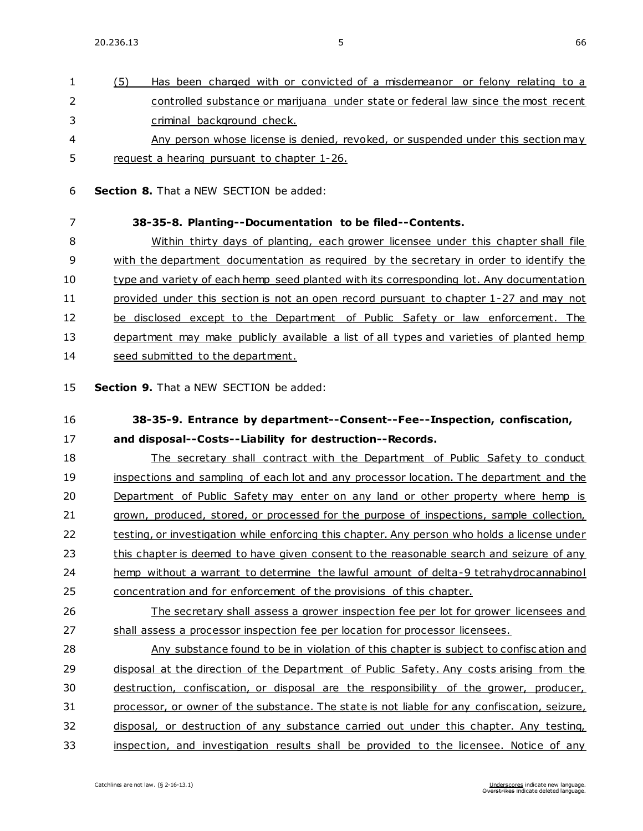1 (5) Has been charged with or convicted of a misdemeanor or felony relating to a 2 controlled substance or marijuana under state or federal law since the most recent

| 3  | criminal background check.                                                                                            |
|----|-----------------------------------------------------------------------------------------------------------------------|
| 4  | Any person whose license is denied, revoked, or suspended under this section may                                      |
| 5  | request a hearing pursuant to chapter 1-26.                                                                           |
| 6  | <b>Section 8.</b> That a NEW SECTION be added:                                                                        |
| 7  | 38-35-8. Planting--Documentation to be filed--Contents.                                                               |
| 8  | Within thirty days of planting, each grower licensee under this chapter shall file                                    |
| 9  | with the department documentation as required by the secretary in order to identify the                               |
| 10 | type and variety of each hemp seed planted with its corresponding lot. Any documentation                              |
| 11 | provided under this section is not an open record pursuant to chapter 1-27 and may not                                |
| 12 | be disclosed except to the Department of Public Safety or law enforcement. The                                        |
| 13 | department may make publicly available a list of all types and varieties of planted hemp                              |
| 14 | seed submitted to the department.                                                                                     |
| 15 | Section 9. That a NEW SECTION be added:                                                                               |
| 16 | 38-35-9. Entrance by department--Consent--Fee--Inspection, confiscation,                                              |
| 17 | and disposal--Costs--Liability for destruction--Records.                                                              |
| 18 | The secretary shall contract with the Department of Public Safety to conduct                                          |
| 19 | inspections and sampling of each lot and any processor location. The department and the                               |
| 20 | Department of Public Safety may enter on any land or other property where hemp is                                     |
| 21 | grown, produced, stored, or processed for the purpose of inspections, sample collection,                              |
| 22 | testing, or investigation while enforcing this chapter. Any person who holds a license under                          |
| 23 | this chapter is deemed to have given consent to the reasonable search and seizure of any                              |
| 24 | hemp without a warrant to determine the lawful amount of delta-9 tetrahydrocannabinol                                 |
| 25 | concentration and for enforcement of the provisions of this chapter.                                                  |
| 26 | The secretary shall assess a grower inspection fee per lot for grower licensees and                                   |
| 27 | shall assess a processor inspection fee per location for processor licensees.                                         |
| 28 | Any substance found to be in violation of this chapter is subject to confiscation and                                 |
| 29 | disposal at the direction of the Department of Public Safety. Any costs arising from the                              |
| 30 | destruction, confiscation, or disposal are the responsibility of the grower, producer,                                |
| 31 | processor, or owner of the substance. The state is not liable for any confiscation, seizure,                          |
| 32 | disposal, or destruction of any substance carried out under this chapter. Any testing,                                |
| 33 | inspection, and investigation results shall be provided to the licensee. Notice of any                                |
|    | Catchlines are not law. (§ 2-16-13.1)<br>Underscores indicate new language.<br>Overstrikes indicate deleted language. |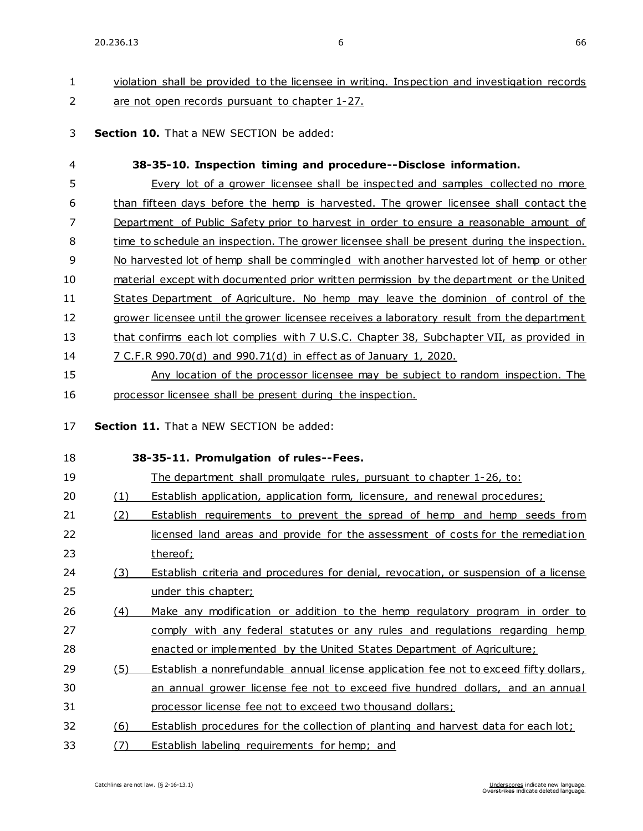## 1 violation shall be provided to the licensee in writing. Inspection and investigation records 2 are not open records pursuant to chapter [1-27.](https://sdlegislature.gov/Statutes/Codified_Laws/DisplayStatute.aspx?Type=Statute&Statute=1-27)

3 **Section 10.** That a NEW SECTION be added:

| 4        |     | 38-35-10. Inspection timing and procedure--Disclose information.                            |
|----------|-----|---------------------------------------------------------------------------------------------|
| 5        |     | Every lot of a grower licensee shall be inspected and samples collected no more             |
| 6        |     | than fifteen days before the hemp is harvested. The grower licensee shall contact the       |
| 7        |     | Department of Public Safety prior to harvest in order to ensure a reasonable amount of      |
| 8        |     | time to schedule an inspection. The grower licensee shall be present during the inspection. |
| 9        |     | No harvested lot of hemp shall be commingled with another harvested lot of hemp or other    |
| 10       |     | material except with documented prior written permission by the department or the United    |
| 11       |     | States Department of Agriculture. No hemp may leave the dominion of control of the          |
| 12       |     | grower licensee until the grower licensee receives a laboratory result from the department  |
| 13       |     | that confirms each lot complies with 7 U.S.C. Chapter 38, Subchapter VII, as provided in    |
| 14       |     | 7 C.F.R 990.70(d) and 990.71(d) in effect as of January 1, 2020.                            |
| 15       |     | Any location of the processor licensee may be subject to random inspection. The             |
| 16       |     | processor licensee shall be present during the inspection.                                  |
| 17<br>18 |     | Section 11. That a NEW SECTION be added:<br>38-35-11. Promulgation of rules--Fees.          |
| 19       |     | The department shall promulgate rules, pursuant to chapter 1-26, to:                        |
| 20       | (1) | <b>Establish application, application form, licensure, and renewal procedures;</b>          |
| 21       | (2) | <b>Establish requirements to prevent the spread of hemp and hemp seeds from</b>             |
| 22       |     | licensed land areas and provide for the assessment of costs for the remediation             |
| 23       |     | thereof;                                                                                    |
| 24       | (3) | Establish criteria and procedures for denial, revocation, or suspension of a license        |
| 25       |     | under this chapter;                                                                         |
| 26       | (4) | Make any modification or addition to the hemp regulatory program in order to                |
| 27       |     | comply with any federal statutes or any rules and regulations regarding hemp                |
| 28       |     | enacted or implemented by the United States Department of Agriculture;                      |
| 29       | (5) | Establish a nonrefundable annual license application fee not to exceed fifty dollars,       |
| 30       |     | an annual grower license fee not to exceed five hundred dollars, and an annual              |
| 31       |     | processor license fee not to exceed two thousand dollars;                                   |
| 32       | (6) | Establish procedures for the collection of planting and harvest data for each lot;          |
| 33       | (7) | Establish labeling requirements for hemp; and                                               |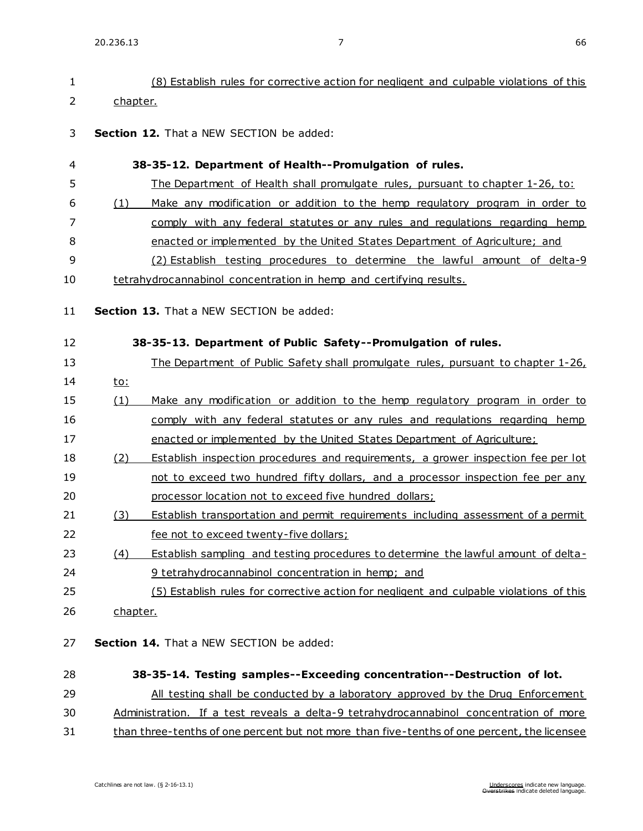| 1  | (8) Establish rules for corrective action for negligent and culpable violations of this         |  |
|----|-------------------------------------------------------------------------------------------------|--|
| 2  | chapter.                                                                                        |  |
| 3  | Section 12. That a NEW SECTION be added:                                                        |  |
| 4  | 38-35-12. Department of Health--Promulgation of rules.                                          |  |
| 5  | The Department of Health shall promulgate rules, pursuant to chapter 1-26, to:                  |  |
| 6  | Make any modification or addition to the hemp regulatory program in order to<br>(1)             |  |
| 7  | comply with any federal statutes or any rules and regulations regarding hemp                    |  |
| 8  | enacted or implemented by the United States Department of Agriculture; and                      |  |
| 9  | (2) Establish testing procedures to determine the lawful amount of delta-9                      |  |
| 10 | tetrahydrocannabinol concentration in hemp and certifying results.                              |  |
| 11 | Section 13. That a NEW SECTION be added:                                                        |  |
|    |                                                                                                 |  |
| 12 | 38-35-13. Department of Public Safety--Promulgation of rules.                                   |  |
| 13 | The Department of Public Safety shall promulgate rules, pursuant to chapter 1-26,               |  |
| 14 | <u>to:</u>                                                                                      |  |
| 15 | Make any modification or addition to the hemp regulatory program in order to<br>(1)             |  |
| 16 | comply with any federal statutes or any rules and regulations regarding hemp                    |  |
| 17 | enacted or implemented by the United States Department of Agriculture;                          |  |
| 18 | (2)<br><b>Establish inspection procedures and requirements, a grower inspection fee per lot</b> |  |
| 19 | not to exceed two hundred fifty dollars, and a processor inspection fee per any                 |  |
| 20 | processor location not to exceed five hundred dollars;                                          |  |
| 21 | (3)<br>Establish transportation and permit requirements including assessment of a permit        |  |
| 22 | fee not to exceed twenty-five dollars;                                                          |  |
| 23 | (4)<br>Establish sampling and testing procedures to determine the lawful amount of delta-       |  |
| 24 | 9 tetrahydrocannabinol concentration in hemp; and                                               |  |
| 25 | (5) Establish rules for corrective action for negligent and culpable violations of this         |  |
| 26 | chapter.                                                                                        |  |
| 27 | Section 14. That a NEW SECTION be added:                                                        |  |
| 28 | 38-35-14. Testing samples--Exceeding concentration--Destruction of lot.                         |  |
| 29 | All testing shall be conducted by a laboratory approved by the Drug Enforcement                 |  |
| 30 | Administration. If a test reveals a delta-9 tetrahydrocannabinol concentration of more          |  |
| 31 | than three-tenths of one percent but not more than five-tenths of one percent, the licensee     |  |
|    |                                                                                                 |  |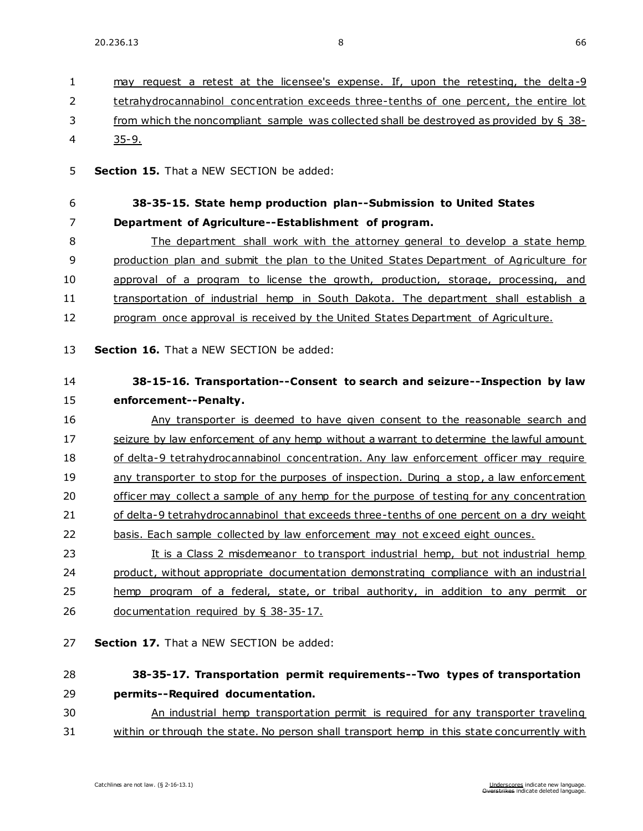| 1  | may request a retest at the licensee's expense. If, upon the retesting, the delta-9         |
|----|---------------------------------------------------------------------------------------------|
| 2  | tetrahydrocannabinol concentration exceeds three-tenths of one percent, the entire lot      |
| 3  | from which the noncompliant sample was collected shall be destroyed as provided by $\S$ 38- |
| 4  | $35 - 9.$                                                                                   |
|    |                                                                                             |
| 5  | Section 15. That a NEW SECTION be added:                                                    |
| 6  | 38-35-15. State hemp production plan--Submission to United States                           |
| 7  | Department of Agriculture--Establishment of program.                                        |
| 8  | The department shall work with the attorney general to develop a state hemp                 |
| 9  | production plan and submit the plan to the United States Department of Agriculture for      |
| 10 | approval of a program to license the growth, production, storage, processing, and           |
| 11 | transportation of industrial hemp in South Dakota. The department shall establish a         |
| 12 | program once approval is received by the United States Department of Agriculture.           |
| 13 | Section 16. That a NEW SECTION be added:                                                    |
| 14 | 38-15-16. Transportation--Consent to search and seizure--Inspection by law                  |
| 15 | enforcement--Penalty.                                                                       |
| 16 | Any transporter is deemed to have given consent to the reasonable search and                |
| 17 | seizure by law enforcement of any hemp without a warrant to determine the lawful amount     |
| 18 | of delta-9 tetrahydrocannabinol concentration. Any law enforcement officer may require      |
| 19 | any transporter to stop for the purposes of inspection. During a stop, a law enforcement    |
| 20 | officer may collect a sample of any hemp for the purpose of testing for any concentration   |
| 21 | of delta-9 tetrahydrocannabinol that exceeds three-tenths of one percent on a dry weight    |
| 22 | basis. Each sample collected by law enforcement may not exceed eight ounces.                |
| 23 | It is a Class 2 misdemeanor to transport industrial hemp, but not industrial hemp           |
| 24 | product, without appropriate documentation demonstrating compliance with an industrial      |
| 25 | hemp program of a federal, state, or tribal authority, in addition to any permit or         |
| 26 | documentation required by $\S$ 38-35-17.                                                    |
| 27 | Section 17. That a NEW SECTION be added:                                                    |
| 28 | 38-35-17. Transportation permit requirements--Two types of transportation                   |
| 29 | permits--Required documentation.                                                            |
| 30 | An industrial hemp transportation permit is required for any transporter traveling          |
| 31 | within or through the state. No person shall transport hemp in this state concurrently with |
|    |                                                                                             |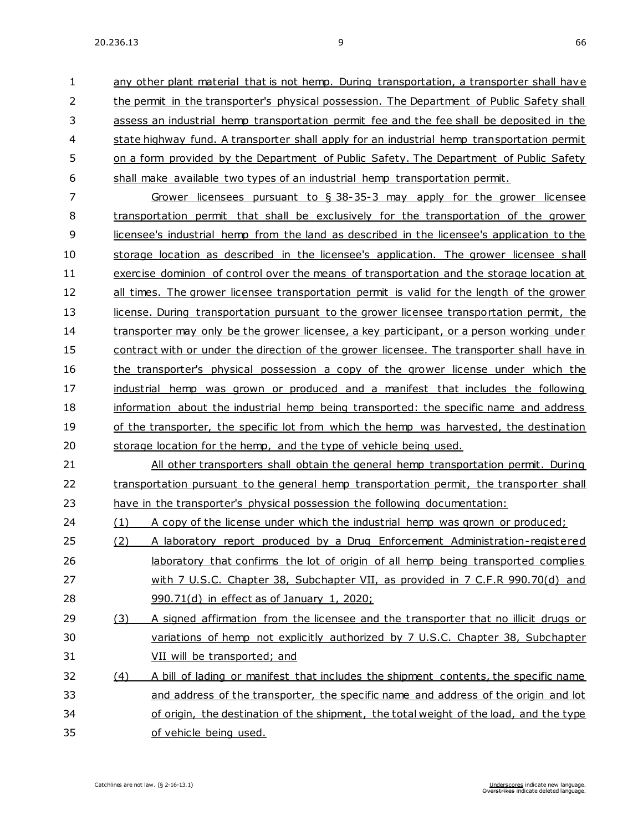any other plant material that is not hemp. During transportation, a transporter shall have the permit in the transporter's physical possession. The Department of Public Safety shall assess an industrial hemp transportation permit fee and the fee shall be deposited in the state highway fund. A transporter shall apply for an industrial hemp transportation permit on a form provided by the Department of Public Safety. The Department of Public Safety shall make available two types of an industrial hemp transportation permit. Grower licensees pursuant to § 38-35-3 may apply for the grower licensee transportation permit that shall be exclusively for the transportation of the grower licensee's industrial hemp from the land as described in the licensee's application to the

 storage location as described in the licensee's application. The grower licensee shall exercise dominion of control over the means of transportation and the storage location at all times. The grower licensee transportation permit is valid for the length of the grower 13 license. During transportation pursuant to the grower licensee transportation permit, the transporter may only be the grower licensee, a key participant, or a person working under contract with or under the direction of the grower licensee. The transporter shall have in 16 the transporter's physical possession a copy of the grower license under which the industrial hemp was grown or produced and a manifest that includes the following information about the industrial hemp being transported: the specific name and address 19 of the transporter, the specific lot from which the hemp was harvested, the destination storage location for the hemp, and the type of vehicle being used.

 All other transporters shall obtain the general hemp transportation permit. During 22 transportation pursuant to the general hemp transportation permit, the transporter shall have in the transporter's physical possession the following documentation:

24 (1) A copy of the license under which the industrial hemp was grown or produced;

- 25 (2) A laboratory report produced by a Drug Enforcement Administration-registered 26 laboratory that confirms the lot of origin of all hemp being transported complies with 7 U.S.C. Chapter 38, Subchapter VII, as provided in 7 C.F.R 990.70(d) and 990.71(d) in effect as of January 1, 2020;
- 29 (3) A signed affirmation from the licensee and the transporter that no illicit drugs or variations of hemp not explicitly authorized by 7 U.S.C. Chapter 38, Subchapter VII will be transported; and
- (4) A bill of lading or manifest that includes the shipment contents, the specific name 33 and address of the transporter, the specific name and address of the origin and lot of origin, the destination of the shipment, the total weight of the load, and the type of vehicle being used.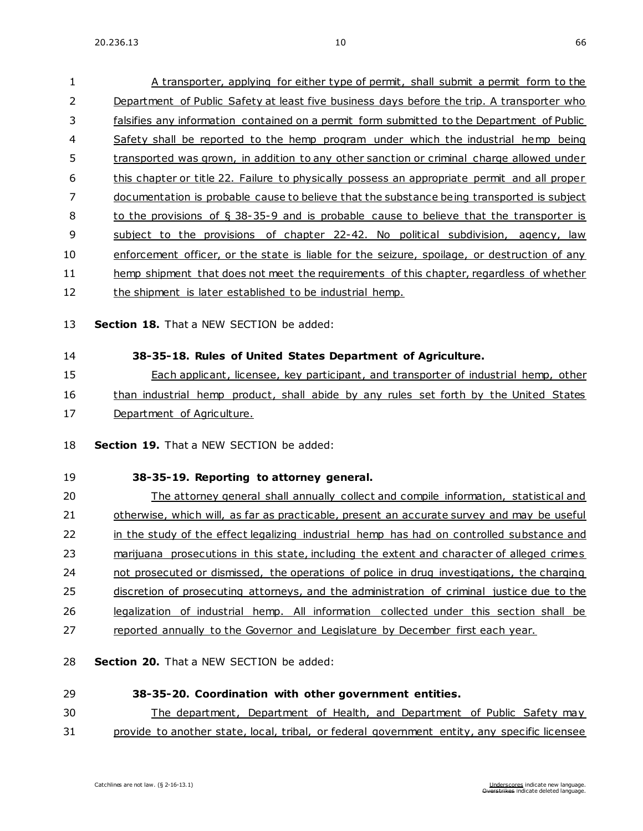A transporter, applying for either type of permit, shall submit a permit form to the

 Department of Public Safety at least five business days before the trip. A transporter who falsifies any information contained on a permit form submitted to the Department of Public Safety shall be reported to the hemp program under which the industrial hemp being transported was grown, in addition to any other sanction or criminal charge allowed under this chapter or title 22. Failure to physically possess an appropriate permit and all proper documentation is probable cause to believe that the substance being transported is subject to the provisions of § 38-35-9 and is probable cause to believe that the transporter is subject to the provisions of chapter [22-42.](https://sdlegislature.gov/Statutes/Codified_Laws/DisplayStatute.aspx?Type=Statute&Statute=22-42) No political subdivision, agency, law enforcement officer, or the state is liable for the seizure, spoilage, or destruction of any hemp shipment that does not meet the requirements of this chapter, regardless of whether 12 the shipment is later established to be industrial hemp. **Section 18.** That a NEW SECTION be added: **38-35-18. Rules of United States Department of Agriculture.** Each applicant, licensee, key participant, and transporter of industrial hemp, other than industrial hemp product, shall abide by any rules set forth by the United States 17 Department of Agriculture. **Section 19.** That a NEW SECTION be added:

# **38-35-19. Reporting to attorney general.**

20 The attorney general shall annually collect and compile information, statistical and otherwise, which will, as far as practicable, present an accurate survey and may be useful 22 in the study of the effect legalizing industrial hemp has had on controlled substance and 23 marijuana prosecutions in this state, including the extent and character of alleged crimes not prosecuted or dismissed, the operations of police in drug investigations, the charging 25 discretion of prosecuting attorneys, and the administration of criminal justice due to the legalization of industrial hemp. All information collected under this section shall be reported annually to the Governor and Legislature by December first each year.

**Section 20.** That a NEW SECTION be added:

### **38-35-20. Coordination with other government entities.**

The department, Department of Health, and Department of Public Safety may

provide to another state, local, tribal, or federal government entity, any specific licensee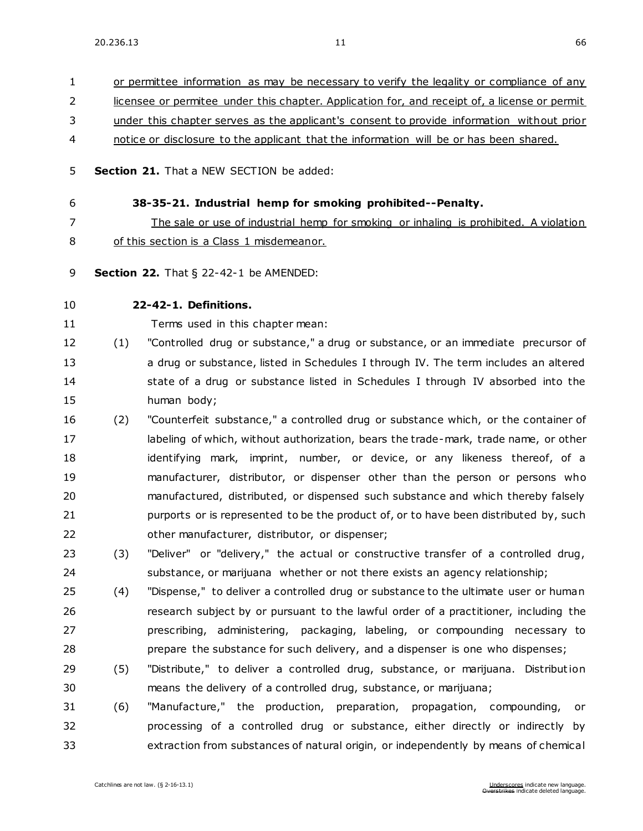or permittee information as may be necessary to verify the legality or compliance of any licensee or permitee under this chapter. Application for, and receipt of, a license or permit under this chapter serves as the applicant's consent to provide information without prior notice or disclosure to the applicant that the information will be or has been shared. **Section 21.** That a NEW SECTION be added: **38-35-21. Industrial hemp for smoking prohibited--Penalty.** The sale or use of industrial hemp for smoking or inhaling is prohibited. A violation of this section is a Class 1 misdemeanor. **Section 22.** [That § 22-42-1 be AMENDED:](https://sdlegislature.gov/Statutes/Codified_Laws/DisplayStatute.aspx?Type=Statute&Statute=22-42-1) **[22-42-1. D](https://sdlegislature.gov/Statutes/Codified_Laws/DisplayStatute.aspx?Type=Statute&Statute=22-42-1)efinitions.**  Terms used in this chapter mean: (1) "Controlled drug or substance," a drug or substance, or an immediate precursor of a drug or substance, listed in Schedules I through IV. The term includes an altered 14 state of a drug or substance listed in Schedules I through IV absorbed into the human body; (2) "Counterfeit substance," a controlled drug or substance which, or the container of 17 labeling of which, without authorization, bears the trade-mark, trade name, or other identifying mark, imprint, number, or device, or any likeness thereof, of a manufacturer, distributor, or dispenser other than the person or persons who manufactured, distributed, or dispensed such substance and which thereby falsely 21 purports or is represented to be the product of, or to have been distributed by, such other manufacturer, distributor, or dispenser; (3) "Deliver" or "delivery," the actual or constructive transfer of a controlled drug, substance, or marijuana whether or not there exists an agency relationship; (4) "Dispense," to deliver a controlled drug or substance to the ultimate user or human research subject by or pursuant to the lawful order of a practitioner, including the prescribing, administering, packaging, labeling, or compounding necessary to prepare the substance for such delivery, and a dispenser is one who dispenses; 29 (5) "Distribute," to deliver a controlled drug, substance, or marijuana. Distribution means the delivery of a controlled drug, substance, or marijuana; (6) "Manufacture," the production, preparation, propagation, compounding, or processing of a controlled drug or substance, either directly or indirectly by extraction from substances of natural origin, or independently by means of chemical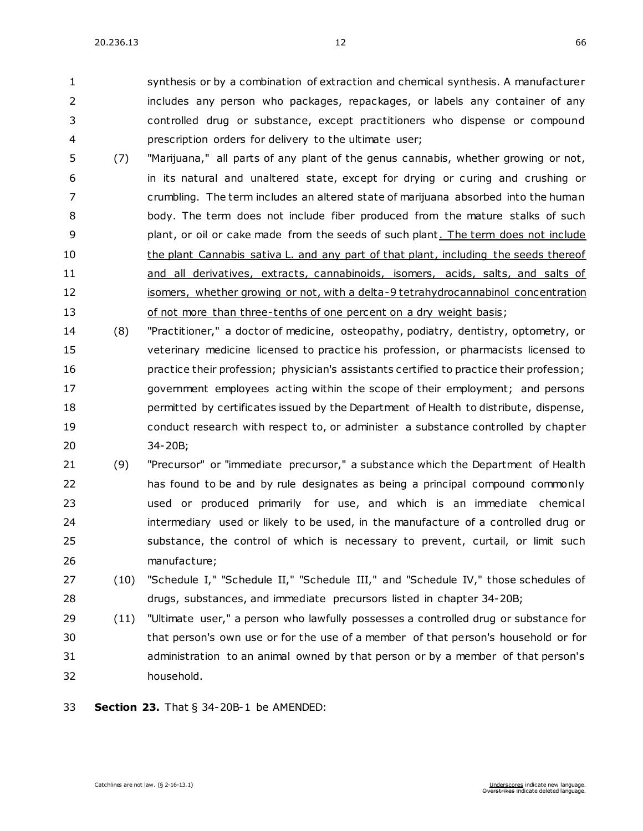synthesis or by a combination of extraction and chemical synthesis. A manufacturer includes any person who packages, repackages, or labels any container of any controlled drug or substance, except practitioners who dispense or compound prescription orders for delivery to the ultimate user;

- (7) "Marijuana," all parts of any plant of the genus cannabis, whether growing or not, in its natural and unaltered state, except for drying or c uring and crushing or crumbling. The term includes an altered state of marijuana absorbed into the human body. The term does not include fiber produced from the mature stalks of such **plant, or oil or cake made from the seeds of such plant.** The term does not include 10 the plant Cannabis sativa L. and any part of that plant, including the seeds thereof and all derivatives, extracts, cannabinoids, isomers, acids, salts, and salts of 12 isomers, whether growing or not, with a delta-9 tetrahydrocannabinol concentration 13 of not more than three-tenths of one percent on a dry weight basis;
- (8) "Practitioner," a doctor of medicine, osteopathy, podiatry, dentistry, optometry, or veterinary medicine licensed to practice his profession, or pharmacists licensed to practice their profession; physician's assistants certified to practice their profession; government employees acting within the scope of their employment; and persons permitted by certificates issued by the Department of Health to distribute, dispense, conduct research with respect to, or administer a substance controlled by chapter [34-20B;](https://sdlegislature.gov/Statutes/Codified_Laws/DisplayStatute.aspx?Type=Statute&Statute=34-20B)
- (9) "Precursor" or "immediate precursor," a substance which the Department of Health has found to be and by rule designates as being a principal compound commonly used or produced primarily for use, and which is an immediate chemical intermediary used or likely to be used, in the manufacture of a controlled drug or substance, the control of which is necessary to prevent, curtail, or limit such manufacture;
- (10) "Schedule I," "Schedule II," "Schedule III," and "Schedule IV," those schedules of drugs, substances, and immediate precursors listed in chapter [34-20B;](https://sdlegislature.gov/Statutes/Codified_Laws/DisplayStatute.aspx?Type=Statute&Statute=34-20B)
- (11) "Ultimate user," a person who lawfully possesses a controlled drug or substance for that person's own use or for the use of a member of that person's household or for administration to an animal owned by that person or by a member of that person's household.
- **Section 23.** [That § 34-20B-1 be AMENDED:](https://sdlegislature.gov/Statutes/Codified_Laws/DisplayStatute.aspx?Type=Statute&Statute=34-20B-1)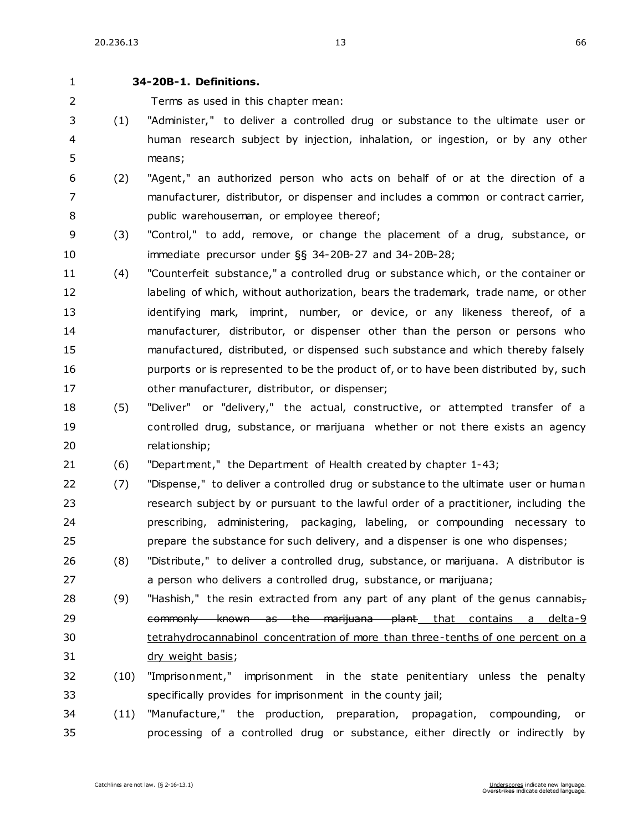#### **[34-20B-1. D](https://sdlegislature.gov/Statutes/Codified_Laws/DisplayStatute.aspx?Type=Statute&Statute=34-20B-1)efinitions.**

Terms as used in this chapter mean:

- (1) "Administer," to deliver a controlled drug or substance to the ultimate user or human research subject by injection, inhalation, or ingestion, or by any other means;
- (2) "Agent," an authorized person who acts on behalf of or at the direction of a manufacturer, distributor, or dispenser and includes a common or contract carrier, public warehouseman, or employee thereof;
- (3) "Control," to add, remove, or change the placement of a drug, substance, or immediate precursor under §§ [34-20B-27](https://sdlegislature.gov/Statutes/Codified_Laws/DisplayStatute.aspx?Type=Statute&Statute=34-20B-27) and [34-20B-28;](https://sdlegislature.gov/Statutes/Codified_Laws/DisplayStatute.aspx?Type=Statute&Statute=34-20B-28)
- (4) "Counterfeit substance," a controlled drug or substance which, or the container or 12 labeling of which, without authorization, bears the trademark, trade name, or other 13 identifying mark, imprint, number, or device, or any likeness thereof, of a manufacturer, distributor, or dispenser other than the person or persons who manufactured, distributed, or dispensed such substance and which thereby falsely 16 purports or is represented to be the product of, or to have been distributed by, such other manufacturer, distributor, or dispenser;
- (5) "Deliver" or "delivery," the actual, constructive, or attempted transfer of a controlled drug, substance, or marijuana whether or not there exists an agency relationship;
- (6) "Department," the Department of Health created by chapter [1-43;](https://sdlegislature.gov/Statutes/Codified_Laws/DisplayStatute.aspx?Type=Statute&Statute=1-43)
- (7) "Dispense," to deliver a controlled drug or substance to the ultimate user or human research subject by or pursuant to the lawful order of a practitioner, including the prescribing, administering, packaging, labeling, or compounding necessary to prepare the substance for such delivery, and a dispenser is one who dispenses;
- (8) "Distribute," to deliver a controlled drug, substance, or marijuana. A distributor is a person who delivers a controlled drug, substance, or marijuana;
- 28 (9) "Hashish," the resin extracted from any part of any plant of the genus cannabis $_7$ 29 commonly known as the marijuana plant that contains a delta-9 tetrahydrocannabinol concentration of more than three-tenths of one percent on a dry weight basis;
- (10) "Imprisonment," imprisonment in the state penitentiary unless the penalty specifically provides for imprisonment in the county jail;
- (11) "Manufacture," the production, preparation, propagation, compounding, or processing of a controlled drug or substance, either directly or indirectly by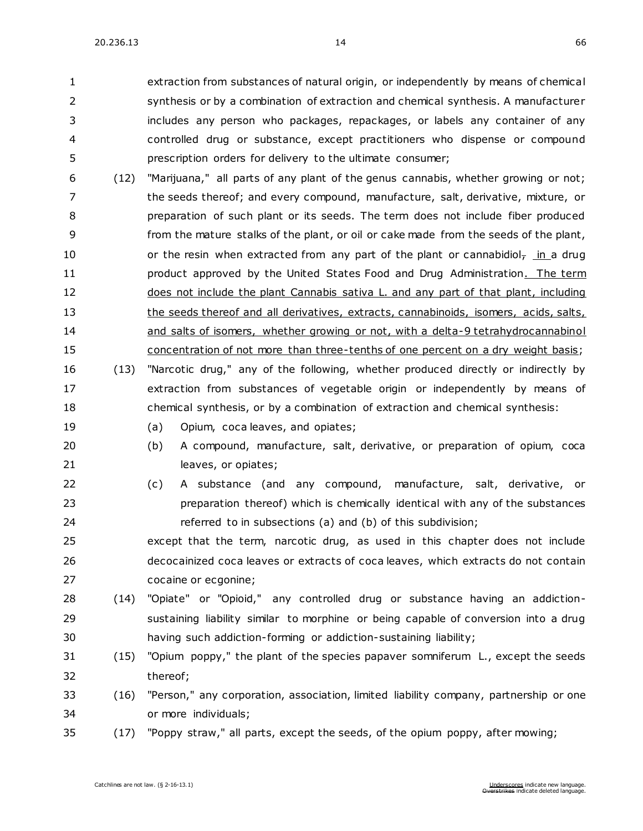extraction from substances of natural origin, or independently by means of chemical synthesis or by a combination of extraction and chemical synthesis. A manufacturer includes any person who packages, repackages, or labels any container of any controlled drug or substance, except practitioners who dispense or compound prescription orders for delivery to the ultimate consumer;

- (12) "Marijuana," all parts of any plant of the genus cannabis, whether growing or not; the seeds thereof; and every compound, manufacture, salt, derivative, mixture, or preparation of such plant or its seeds. The term does not include fiber produced from the mature stalks of the plant, or oil or cake made from the seeds of the plant, 10  $\sigma$  or the resin when extracted from any part of the plant or cannabidiol<sub>7</sub> in a drug **product approved by the United States Food and Drug Administration.** The term 12 does not include the plant Cannabis sativa L. and any part of that plant, including the seeds thereof and all derivatives, extracts, cannabinoids, isomers, acids, salts, and salts of isomers, whether growing or not, with a delta-9 tetrahydrocannabinol concentration of not more than three-tenths of one percent on a dry weight basis;
- (13) "Narcotic drug," any of the following, whether produced directly or indirectly by extraction from substances of vegetable origin or independently by means of chemical synthesis, or by a combination of extraction and chemical synthesis:
- 

19 (a) Opium, coca leaves, and opiates;

- (b) A compound, manufacture, salt, derivative, or preparation of opium, coca 21 leaves, or opiates;
- (c) A substance (and any compound, manufacture, salt, derivative, or preparation thereof) which is chemically identical with any of the substances referred to in subsections (a) and (b) of this subdivision;
- except that the term, narcotic drug, as used in this chapter does not include decocainized coca leaves or extracts of coca leaves, which extracts do not contain cocaine or ecgonine;
- (14) "Opiate" or "Opioid," any controlled drug or substance having an addiction- sustaining liability similar to morphine or being capable of conversion into a drug having such addiction-forming or addiction-sustaining liability;
- (15) "Opium poppy," the plant of the species papaver somniferum L., except the seeds thereof;
- (16) "Person," any corporation, association, limited liability company, partnership or one or more individuals;
- (17) "Poppy straw," all parts, except the seeds, of the opium poppy, after mowing;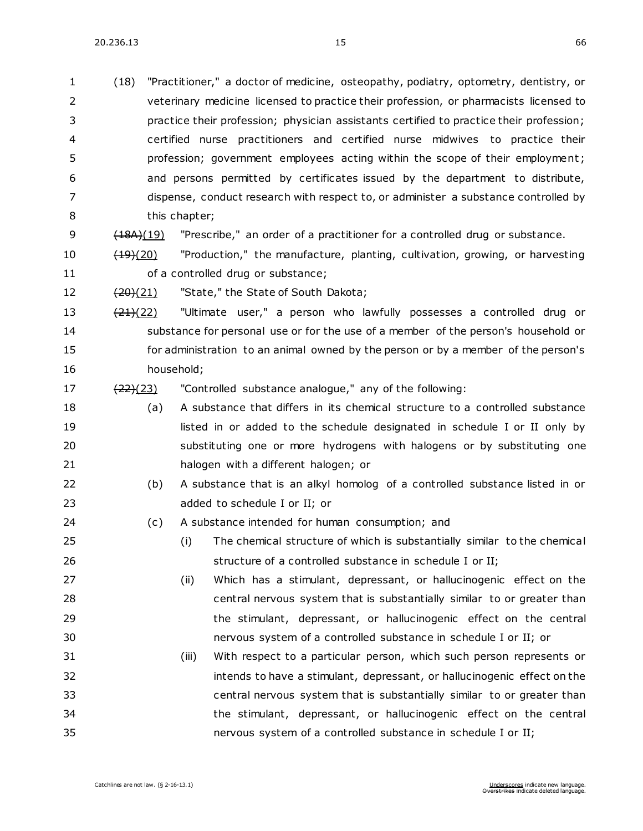20.236.13 15 66

| $\mathbf{1}$   | (18)                 | "Practitioner," a doctor of medicine, osteopathy, podiatry, optometry, dentistry, or    |  |
|----------------|----------------------|-----------------------------------------------------------------------------------------|--|
| $\overline{2}$ |                      | veterinary medicine licensed to practice their profession, or pharmacists licensed to   |  |
| 3              |                      | practice their profession; physician assistants certified to practice their profession; |  |
| 4              |                      | certified nurse practitioners and certified nurse midwives to practice their            |  |
| 5              |                      | profession; government employees acting within the scope of their employment;           |  |
| 6              |                      | and persons permitted by certificates issued by the department to distribute,           |  |
| 7              |                      | dispense, conduct research with respect to, or administer a substance controlled by     |  |
| 8              |                      | this chapter;                                                                           |  |
| 9              | (18A)(19)            | "Prescribe," an order of a practitioner for a controlled drug or substance.             |  |
| 10             | $\frac{(19)(20)}{2}$ | "Production," the manufacture, planting, cultivation, growing, or harvesting            |  |
| 11             |                      | of a controlled drug or substance;                                                      |  |
| 12             | $\frac{(20)(21)}{2}$ | "State," the State of South Dakota;                                                     |  |
| 13             | $\frac{(21)(22)}{2}$ | "Ultimate user," a person who lawfully possesses a controlled drug or                   |  |
| 14             |                      | substance for personal use or for the use of a member of the person's household or      |  |
| 15             |                      | for administration to an animal owned by the person or by a member of the person's      |  |
| 16             |                      | household;                                                                              |  |
| 17             | $\frac{(22)(23)}{2}$ | "Controlled substance analogue," any of the following:                                  |  |
| 18             | (a)                  | A substance that differs in its chemical structure to a controlled substance            |  |
| 19             |                      | listed in or added to the schedule designated in schedule I or II only by               |  |
| 20             |                      | substituting one or more hydrogens with halogens or by substituting one                 |  |
| 21             |                      | halogen with a different halogen; or                                                    |  |
| 22             | (b)                  | A substance that is an alkyl homolog of a controlled substance listed in or             |  |
| 23             |                      | added to schedule I or II; or                                                           |  |
| 24             | (c)                  | A substance intended for human consumption; and                                         |  |
| 25             |                      | The chemical structure of which is substantially similar to the chemical<br>(i)         |  |
| 26             |                      | structure of a controlled substance in schedule I or II;                                |  |
| 27             |                      | Which has a stimulant, depressant, or hallucinogenic effect on the<br>(ii)              |  |
| 28             |                      | central nervous system that is substantially similar to or greater than                 |  |
| 29             |                      | the stimulant, depressant, or hallucinogenic effect on the central                      |  |
| 30             |                      | nervous system of a controlled substance in schedule I or II; or                        |  |
| 31             |                      | With respect to a particular person, which such person represents or<br>(iii)           |  |
| 32             |                      | intends to have a stimulant, depressant, or hallucinogenic effect on the                |  |
| 33             |                      | central nervous system that is substantially similar to or greater than                 |  |
| 34             |                      | the stimulant, depressant, or hallucinogenic effect on the central                      |  |
| 35             |                      | nervous system of a controlled substance in schedule I or II;                           |  |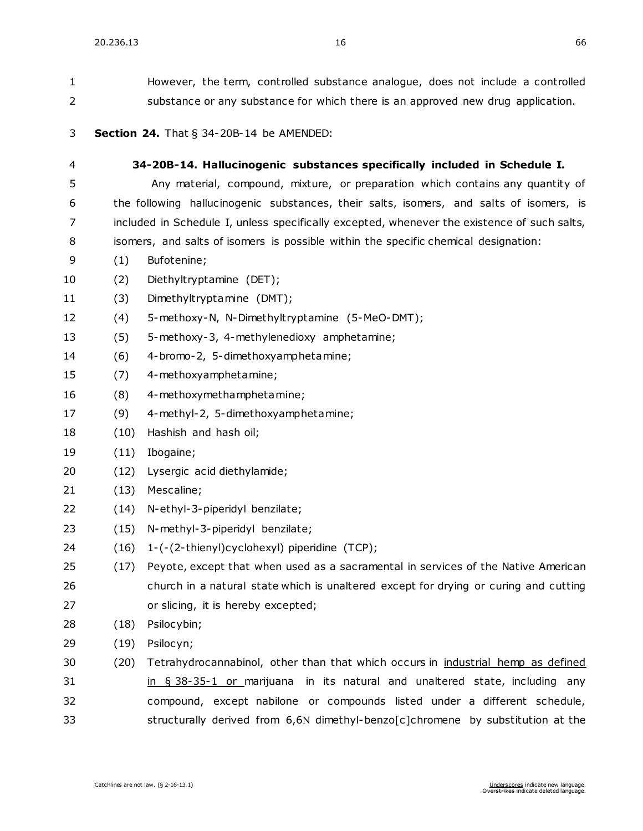| 1              | However, the term, controlled substance analogue, does not include a controlled |                                                                                             |  |  |  |
|----------------|---------------------------------------------------------------------------------|---------------------------------------------------------------------------------------------|--|--|--|
| $\overline{2}$ | substance or any substance for which there is an approved new drug application. |                                                                                             |  |  |  |
| 3              |                                                                                 | <b>Section 24.</b> That $\S$ 34-20B-14 be AMENDED:                                          |  |  |  |
| 4              | 34-20B-14. Hallucinogenic substances specifically included in Schedule I.       |                                                                                             |  |  |  |
| 5              |                                                                                 | Any material, compound, mixture, or preparation which contains any quantity of              |  |  |  |
| 6              |                                                                                 | the following hallucinogenic substances, their salts, isomers, and salts of isomers, is     |  |  |  |
| 7              |                                                                                 | included in Schedule I, unless specifically excepted, whenever the existence of such salts, |  |  |  |
| 8              |                                                                                 | isomers, and salts of isomers is possible within the specific chemical designation:         |  |  |  |
| 9              | (1)                                                                             | Bufotenine;                                                                                 |  |  |  |
| 10             | (2)                                                                             | Diethyltryptamine (DET);                                                                    |  |  |  |
| 11             | (3)                                                                             | Dimethyltryptamine (DMT);                                                                   |  |  |  |
| 12             | (4)                                                                             | 5-methoxy-N, N-Dimethyltryptamine (5-MeO-DMT);                                              |  |  |  |
| 13             | (5)                                                                             | 5-methoxy-3, 4-methylenedioxy amphetamine;                                                  |  |  |  |
| 14             | (6)                                                                             | 4-bromo-2, 5-dimethoxyamphetamine;                                                          |  |  |  |
| 15             | (7)                                                                             | 4-methoxyamphetamine;                                                                       |  |  |  |
| 16             | (8)                                                                             | 4-methoxymethamphetamine;                                                                   |  |  |  |
| 17             | (9)                                                                             | 4-methyl-2, 5-dimethoxyamphetamine;                                                         |  |  |  |
| 18             | (10)                                                                            | Hashish and hash oil;                                                                       |  |  |  |
| 19             | (11)                                                                            | Ibogaine;                                                                                   |  |  |  |
| 20             | (12)                                                                            | Lysergic acid diethylamide;                                                                 |  |  |  |
| 21             | (13)                                                                            | Mescaline;                                                                                  |  |  |  |
| 22             | (14)                                                                            | N-ethyl-3-piperidyl benzilate;                                                              |  |  |  |
| 23             | (15)                                                                            | N-methyl-3-piperidyl benzilate;                                                             |  |  |  |
| 24             |                                                                                 | (16) 1-(-(2-thienyl)cyclohexyl) piperidine (TCP);                                           |  |  |  |
| 25             | (17)                                                                            | Peyote, except that when used as a sacramental in services of the Native American           |  |  |  |
| 26             |                                                                                 | church in a natural state which is unaltered except for drying or curing and cutting        |  |  |  |
| 27             |                                                                                 | or slicing, it is hereby excepted;                                                          |  |  |  |
| 28             | (18)                                                                            | Psilocybin;                                                                                 |  |  |  |
| 29             | (19)                                                                            | Psilocyn;                                                                                   |  |  |  |
| 30             | (20)                                                                            | Tetrahydrocannabinol, other than that which occurs in industrial hemp as defined            |  |  |  |
| 31             |                                                                                 | in $\S$ 38-35-1 or marijuana in its natural and unaltered state, including any              |  |  |  |
| 32             |                                                                                 | compound, except nabilone or compounds listed under a different schedule,                   |  |  |  |
| 33             |                                                                                 | structurally derived from 6,6N dimethyl-benzo[c]chromene by substitution at the             |  |  |  |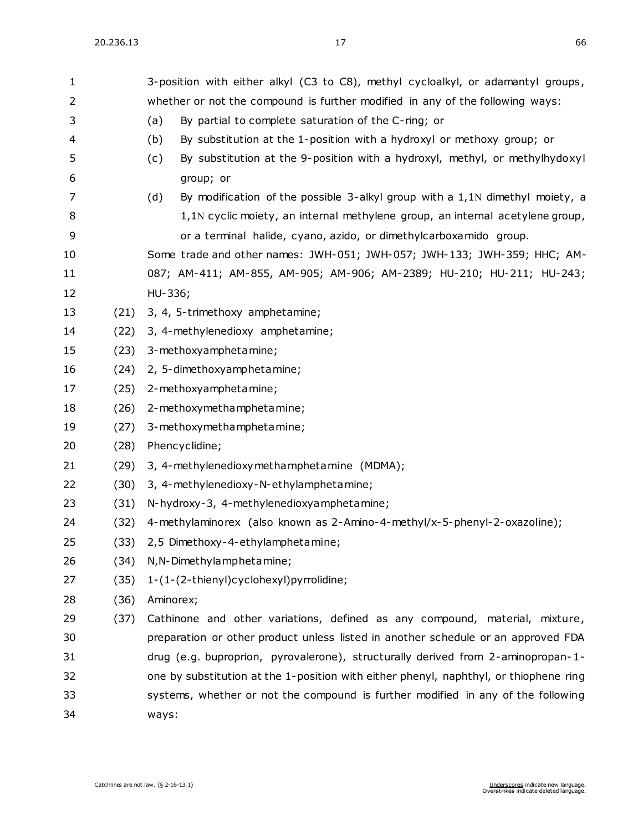| 1  |      | 3-position with either alkyl (C3 to C8), methyl cycloalkyl, or adamantyl groups,      |  |  |
|----|------|---------------------------------------------------------------------------------------|--|--|
| 2  |      | whether or not the compound is further modified in any of the following ways:         |  |  |
| 3  |      | By partial to complete saturation of the C-ring; or<br>(a)                            |  |  |
| 4  |      | By substitution at the 1-position with a hydroxyl or methoxy group; or<br>(b)         |  |  |
| 5  |      | By substitution at the 9-position with a hydroxyl, methyl, or methylhydoxyl<br>(c)    |  |  |
| 6  |      | group; or                                                                             |  |  |
| 7  |      | (d)<br>By modification of the possible 3-alkyl group with a 1,1N dimethyl moiety, a   |  |  |
| 8  |      | 1,1N cyclic moiety, an internal methylene group, an internal acetylene group,         |  |  |
| 9  |      | or a terminal halide, cyano, azido, or dimethylcarboxamido group.                     |  |  |
| 10 |      | Some trade and other names: JWH-051; JWH-057; JWH-133; JWH-359; HHC; AM-              |  |  |
| 11 |      | 087; AM-411; AM-855, AM-905; AM-906; AM-2389; HU-210; HU-211; HU-243;                 |  |  |
| 12 |      | HU-336;                                                                               |  |  |
| 13 | (21) | 3, 4, 5-trimethoxy amphetamine;                                                       |  |  |
| 14 | (22) | 3, 4-methylenedioxy amphetamine;                                                      |  |  |
| 15 | (23) | 3-methoxyamphetamine;                                                                 |  |  |
| 16 | (24) | 2, 5-dimethoxyamphetamine;                                                            |  |  |
| 17 | (25) | 2-methoxyamphetamine;                                                                 |  |  |
| 18 | (26) | 2-methoxymethamphetamine;                                                             |  |  |
| 19 | (27) | 3-methoxymethamphetamine;                                                             |  |  |
| 20 | (28) | Phencyclidine;                                                                        |  |  |
| 21 | (29) | 3, 4-methylenedioxymethamphetamine (MDMA);                                            |  |  |
| 22 | (30) | 3, 4-methylenedioxy-N-ethylamphetamine;                                               |  |  |
| 23 | (31) | N-hydroxy-3, 4-methylenedioxyamphetamine;                                             |  |  |
| 24 | (32) | 4-methylaminorex (also known as 2-Amino-4-methyl/x-5-phenyl-2-oxazoline);             |  |  |
| 25 | (33) | 2,5 Dimethoxy-4-ethylamphetamine;                                                     |  |  |
| 26 | (34) | N, N-Dimethylamphetamine;                                                             |  |  |
| 27 | (35) | 1-(1-(2-thienyl)cyclohexyl)pyrrolidine;                                               |  |  |
| 28 | (36) | Aminorex;                                                                             |  |  |
| 29 | (37) | Cathinone and other variations, defined as any compound, material, mixture,           |  |  |
| 30 |      | preparation or other product unless listed in another schedule or an approved FDA     |  |  |
| 31 |      | drug (e.g. buproprion, pyrovalerone), structurally derived from 2-aminopropan-1-      |  |  |
| 32 |      | one by substitution at the 1-position with either phenyl, naphthyl, or thiophene ring |  |  |
| 33 |      | systems, whether or not the compound is further modified in any of the following      |  |  |
| 34 |      | ways:                                                                                 |  |  |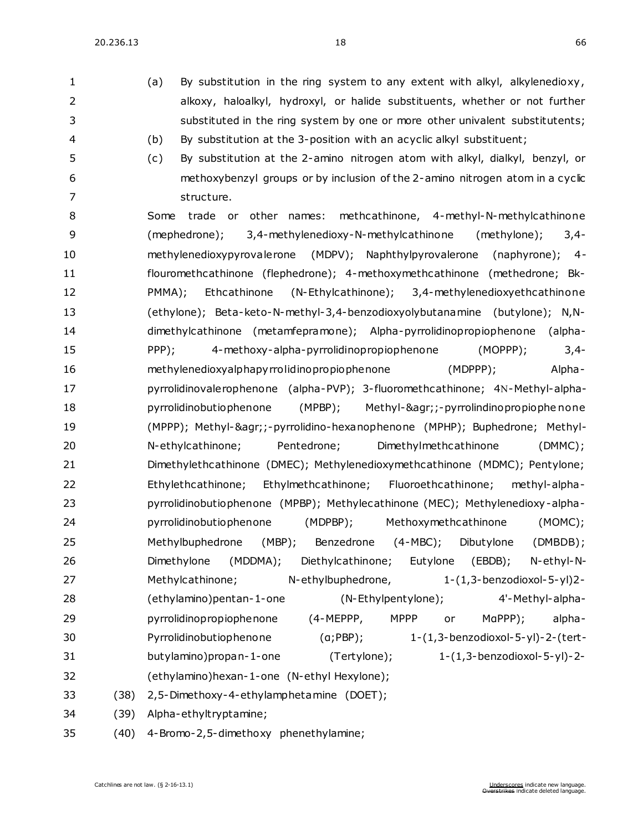20.236.13 18 66

1 (a) By substitution in the ring system to any extent with alkyl, alkylenedioxy, alkoxy, haloalkyl, hydroxyl, or halide substituents, whether or not further

 substituted in the ring system by one or more other univalent substitutents; (b) By substitution at the 3-position with an acyclic alkyl substituent; (c) By substitution at the 2-amino nitrogen atom with alkyl, dialkyl, benzyl, or methoxybenzyl groups or by inclusion of the 2-amino nitrogen atom in a cyclic 7 structure. Some trade or other names: methcathinone, 4-methyl-N-methylcathinone (mephedrone); 3,4-methylenedioxy-N-methylcathinone (methylone); 3,4- methylenedioxypyrovalerone (MDPV); Naphthylpyrovalerone (naphyrone); 4- flouromethcathinone (flephedrone); 4-methoxymethcathinone (methedrone; Bk- PMMA); Ethcathinone (N-Ethylcathinone); 3,4-methylenedioxyethcathinone (ethylone); Beta-keto-N-methyl-3,4-benzodioxyolybutanamine (butylone); N,N- dimethylcathinone (metamfepramone); Alpha-pyrrolidinopropiophenone (alpha- PPP); 4-methoxy-alpha-pyrrolidinopropiophenone (MOPPP); 3,4- methylenedioxyalphapyrrolidinopropiophenone (MDPPP); Alpha-17 pyrrolidinovalerophenone (alpha-PVP); 3-fluoromethcathinone; 4N-Methyl-alpha- pyrrolidinobutiophenone (MPBP); Methyl-&agr;;-pyrrolindinopropiophe none (MPPP); Methyl-&agr;;-pyrrolidino-hexanophenone (MPHP); Buphedrone; Methyl- N-ethylcathinone; Pentedrone; Dimethylmethcathinone (DMMC); Dimethylethcathinone (DMEC); Methylenedioxymethcathinone (MDMC); Pentylone; Ethylethcathinone; Ethylmethcathinone; Fluoroethcathinone; methyl-alpha- pyrrolidinobutiophenone (MPBP); Methylecathinone (MEC); Methylenedioxy-alpha- pyrrolidinobutiophenone (MDPBP); Methoxymethcathinone (MOMC); Methylbuphedrone (MBP); Benzedrone (4-MBC); Dibutylone (DMBDB); Dimethylone (MDDMA); Diethylcathinone; Eutylone (EBDB); N-ethyl-N- Methylcathinone; N-ethylbuphedrone, 1-(1,3-benzodioxol-5-yl)2- (ethylamino)pentan-1-one (N-Ethylpentylone); 4'-Methyl-alpha- pyrrolidinopropiophenone (4-MEPPP, MPPP or MαPPP); alpha- Pyrrolidinobutiophenone (α;PBP); 1-(1,3-benzodioxol-5-yl)-2-(tert- butylamino)propan-1-one (Tertylone); 1-(1,3-benzodioxol-5-yl)-2- (ethylamino)hexan-1-one (N-ethyl Hexylone); (38) 2,5-Dimethoxy-4-ethylamphetamine (DOET); (39) Alpha-ethyltryptamine; (40) 4-Bromo-2,5-dimethoxy phenethylamine;

Overstrikes indicate deleted language.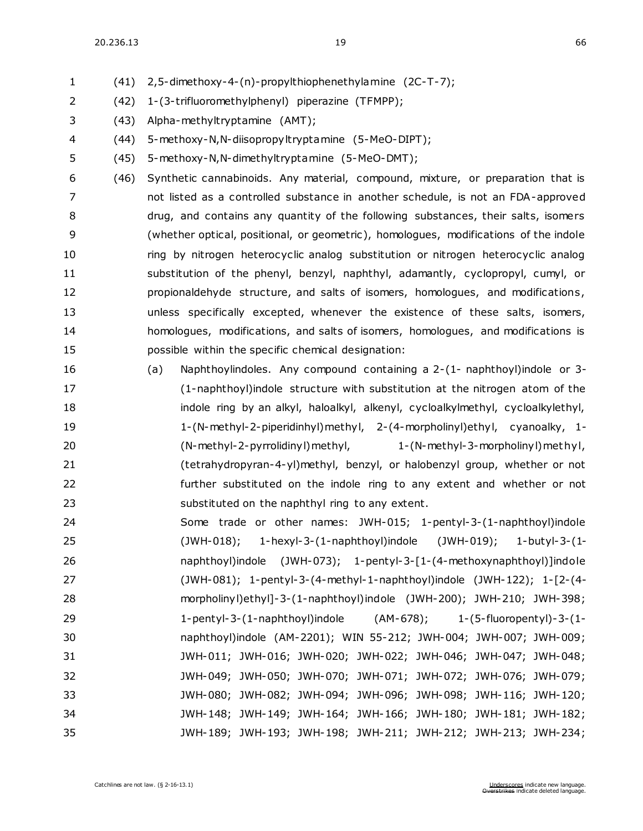20.236.13 19 66

(41) 2,5-dimethoxy-4-(n)-propylthiophenethylamine (2C-T-7);

- (42) 1-(3-trifluoromethylphenyl) piperazine (TFMPP);
- (43) Alpha-methyltryptamine (AMT);
- (44) 5-methoxy-N,N-diisopropyltryptamine (5-MeO-DIPT);
- (45) 5-methoxy-N,N-dimethyltryptamine (5-MeO-DMT);
- (46) Synthetic cannabinoids. Any material, compound, mixture, or preparation that is not listed as a controlled substance in another schedule, is not an FDA-approved drug, and contains any quantity of the following substances, their salts, isomers (whether optical, positional, or geometric), homologues, modifications of the indole ring by nitrogen heterocyclic analog substitution or nitrogen heterocyclic analog substitution of the phenyl, benzyl, naphthyl, adamantly, cyclopropyl, cumyl, or propionaldehyde structure, and salts of isomers, homologues, and modifications , unless specifically excepted, whenever the existence of these salts, isomers, homologues, modifications, and salts of isomers, homologues, and modifications is possible within the specific chemical designation:
- (a) Naphthoylindoles. Any compound containing a 2-(1- naphthoyl)indole or 3- (1-naphthoyl)indole structure with substitution at the nitrogen atom of the 18 indole ring by an alkyl, haloalkyl, alkenyl, cycloalkylmethyl, cycloalkylethyl, 1-(N-methyl-2-piperidinhyl)methyl, 2-(4-morpholinyl)ethyl, cyanoalky, 1- (N-methyl-2-pyrrolidinyl)methyl, 1-(N-methyl-3-morpholinyl)met hyl, (tetrahydropyran-4-yl)methyl, benzyl, or halobenzyl group, whether or not further substituted on the indole ring to any extent and whether or not substituted on the naphthyl ring to any extent.
- Some trade or other names: JWH-015; 1-pentyl-3-(1-naphthoyl)indole (JWH-018); 1-hexyl-3-(1-naphthoyl)indole (JWH-019); 1-butyl-3-(1- naphthoyl)indole (JWH-073); 1-pentyl-3-[1-(4-methoxynaphthoyl)]indole (JWH-081); 1-pentyl-3-(4-methyl-1-naphthoyl)indole (JWH-122); 1-[2-(4- morpholinyl)ethyl]-3-(1-naphthoyl)indole (JWH-200); JWH-210; JWH-398; 1-pentyl-3-(1-naphthoyl)indole (AM-678); 1-(5-fluoropentyl)-3-(1- naphthoyl)indole (AM-2201); WIN 55-212; JWH-004; JWH-007; JWH-009; JWH-011; JWH-016; JWH-020; JWH-022; JWH-046; JWH-047; JWH-048; JWH-049; JWH-050; JWH-070; JWH-071; JWH-072; JWH-076; JWH-079; JWH-080; JWH-082; JWH-094; JWH-096; JWH-098; JWH-116; JWH-120; JWH-148; JWH-149; JWH-164; JWH-166; JWH-180; JWH-181; JWH-182; JWH-189; JWH-193; JWH-198; JWH-211; JWH-212; JWH-213; JWH-234;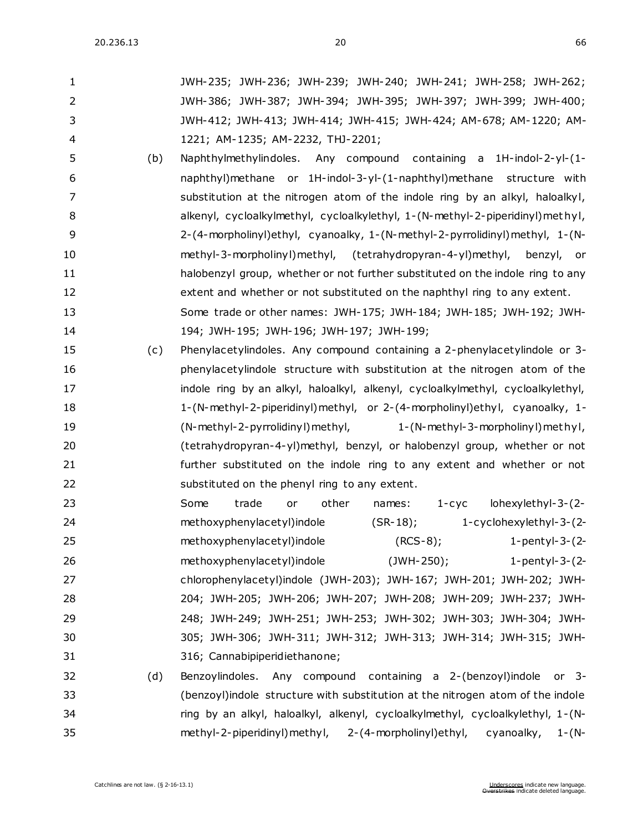| $\mathbf{1}$   |     | JWH-235; JWH-236; JWH-239; JWH-240; JWH-241; JWH-258; JWH-262;                  |
|----------------|-----|---------------------------------------------------------------------------------|
| $\overline{2}$ |     | JWH-386; JWH-387; JWH-394; JWH-395; JWH-397; JWH-399; JWH-400;                  |
| 3              |     | JWH-412; JWH-413; JWH-414; JWH-415; JWH-424; AM-678; AM-1220; AM-               |
| 4              |     | 1221; AM-1235; AM-2232, THJ-2201;                                               |
| 5              | (b) | Naphthylmethylindoles. Any compound containing a 1H-indol-2-yl-(1-              |
| 6              |     | naphthyl)methane or 1H-indol-3-yl-(1-naphthyl)methane structure with            |
| 7              |     | substitution at the nitrogen atom of the indole ring by an alkyl, haloalkyl,    |
| 8              |     | alkenyl, cycloalkylmethyl, cycloalkylethyl, 1-(N-methyl-2-piperidinyl)methyl,   |
| 9              |     | 2-(4-morpholinyl)ethyl, cyanoalky, 1-(N-methyl-2-pyrrolidinyl)methyl, 1-(N-     |
| 10             |     | methyl-3-morpholinyl)methyl, (tetrahydropyran-4-yl)methyl, benzyl, or           |
| 11             |     | halobenzyl group, whether or not further substituted on the indole ring to any  |
| 12             |     | extent and whether or not substituted on the naphthyl ring to any extent.       |
| 13             |     | Some trade or other names: JWH-175; JWH-184; JWH-185; JWH-192; JWH-             |
| 14             |     | 194; JWH-195; JWH-196; JWH-197; JWH-199;                                        |
| 15             | (c) | Phenylacetylindoles. Any compound containing a 2-phenylacetylindole or 3-       |
| 16             |     | phenylacetylindole structure with substitution at the nitrogen atom of the      |
| 17             |     | indole ring by an alkyl, haloalkyl, alkenyl, cycloalkylmethyl, cycloalkylethyl, |
| 18             |     | 1-(N-methyl-2-piperidinyl)methyl, or 2-(4-morpholinyl)ethyl, cyanoalky, 1-      |
| 19             |     | (N-methyl-2-pyrrolidinyl) methyl,<br>1-(N-methyl-3-morpholinyl) methyl,         |
| 20             |     | (tetrahydropyran-4-yl)methyl, benzyl, or halobenzyl group, whether or not       |
| 21             |     | further substituted on the indole ring to any extent and whether or not         |
| 22             |     | substituted on the phenyl ring to any extent.                                   |
| 23             |     | trade<br>other<br>lohexylethyl-3-(2-<br>Some<br>names:<br>$1 - cyc$<br>or       |
| 24             |     | methoxyphenylacetyl)indole<br>$(SR-18)$ ;<br>1-cyclohexylethyl-3-(2-            |
| 25             |     | methoxyphenylacetyl)indole<br>$(RCS-8)$ ; 1-pentyl-3- $(2-$                     |
| 26             |     | methoxyphenylacetyl)indole<br>$(JWH-250)$ ;<br>1-pentyl-3- $(2-$                |
| 27             |     | chlorophenylacetyl)indole (JWH-203); JWH-167; JWH-201; JWH-202; JWH-            |
| 28             |     | 204; JWH-205; JWH-206; JWH-207; JWH-208; JWH-209; JWH-237; JWH-                 |
| 29             |     | 248; JWH-249; JWH-251; JWH-253; JWH-302; JWH-303; JWH-304; JWH-                 |
| 30             |     | 305; JWH-306; JWH-311; JWH-312; JWH-313; JWH-314; JWH-315; JWH-                 |
| 31             |     | 316; Cannabipiperidiethanone;                                                   |
| 32             | (d) | Benzoylindoles. Any compound containing a 2-(benzoyl)indole or 3-               |
| 33             |     | (benzoyl) indole structure with substitution at the nitrogen atom of the indole |
| 34             |     | ring by an alkyl, haloalkyl, alkenyl, cycloalkylmethyl, cycloalkylethyl, 1-(N-  |
| 35             |     | methyl-2-piperidinyl)methyl, 2-(4-morpholinyl)ethyl, cyanoalky, 1-(N-           |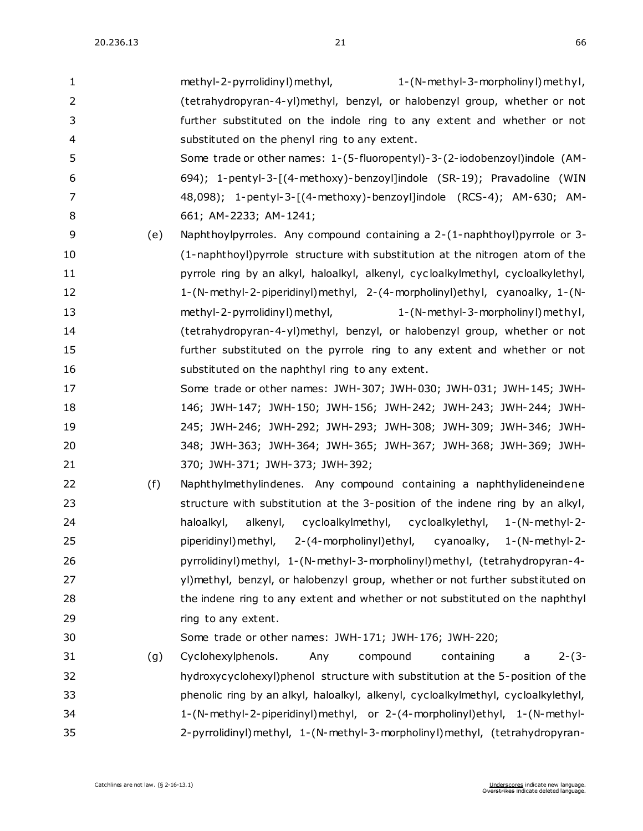| $\mathbf{1}$   |     | methyl-2-pyrrolidinyl) methyl,<br>1-(N-methyl-3-morpholinyl) methyl,              |
|----------------|-----|-----------------------------------------------------------------------------------|
| $\overline{2}$ |     | (tetrahydropyran-4-yl)methyl, benzyl, or halobenzyl group, whether or not         |
| 3              |     | further substituted on the indole ring to any extent and whether or not           |
| 4              |     | substituted on the phenyl ring to any extent.                                     |
| 5              |     | Some trade or other names: 1-(5-fluoropentyl)-3-(2-iodobenzoyl)indole (AM-        |
| 6              |     | 694); 1-pentyl-3-[(4-methoxy)-benzoyl]indole (SR-19); Pravadoline (WIN            |
| 7              |     | 48,098); 1-pentyl-3-[(4-methoxy)-benzoyl]indole (RCS-4); AM-630; AM-              |
| 8              |     | 661; AM-2233; AM-1241;                                                            |
| 9              | (e) | Naphthoylpyrroles. Any compound containing a 2-(1-naphthoyl)pyrrole or 3-         |
| 10             |     | (1-naphthoyl) pyrrole structure with substitution at the nitrogen atom of the     |
| 11             |     | pyrrole ring by an alkyl, haloalkyl, alkenyl, cycloalkylmethyl, cycloalkylethyl,  |
| 12             |     | 1-(N-methyl-2-piperidinyl)methyl, 2-(4-morpholinyl)ethyl, cyanoalky, 1-(N-        |
| 13             |     | methyl-2-pyrrolidinyl) methyl,<br>1-(N-methyl-3-morpholinyl) methyl,              |
| 14             |     | (tetrahydropyran-4-yl)methyl, benzyl, or halobenzyl group, whether or not         |
| 15             |     | further substituted on the pyrrole ring to any extent and whether or not          |
| 16             |     | substituted on the naphthyl ring to any extent.                                   |
| 17             |     | Some trade or other names: JWH-307; JWH-030; JWH-031; JWH-145; JWH-               |
| 18             |     | 146; JWH-147; JWH-150; JWH-156; JWH-242; JWH-243; JWH-244; JWH-                   |
| 19             |     | 245; JWH-246; JWH-292; JWH-293; JWH-308; JWH-309; JWH-346; JWH-                   |
| 20             |     | 348; JWH-363; JWH-364; JWH-365; JWH-367; JWH-368; JWH-369; JWH-                   |
| 21             |     | 370; JWH-371; JWH-373; JWH-392;                                                   |
| 22             | (f) | Naphthylmethylindenes. Any compound containing a naphthylideneindene              |
| 23             |     | structure with substitution at the 3-position of the indene ring by an alkyl,     |
| 24             |     | haloalkyl,<br>alkenyl, cycloalkylmethyl, cycloalkylethyl, 1-(N-methyl-2-          |
| 25             |     | piperidinyl) methyl, 2-(4-morpholinyl) ethyl,<br>cyanoalky,<br>$1-(N-methyl-2-$   |
| 26             |     | pyrrolidinyl) methyl, 1-(N-methyl-3-morpholinyl) methyl, (tetrahydropyran-4-      |
| 27             |     | yl)methyl, benzyl, or halobenzyl group, whether or not further substituted on     |
| 28             |     | the indene ring to any extent and whether or not substituted on the naphthyl      |
| 29             |     | ring to any extent.                                                               |
| 30             |     | Some trade or other names: JWH-171; JWH-176; JWH-220;                             |
| 31             | (g) | Cyclohexylphenols.<br>compound<br>containing<br>$2-(3-$<br>Any<br>a               |
| 32             |     | hydroxycyclohexyl)phenol structure with substitution at the 5-position of the     |
| 33             |     | phenolic ring by an alkyl, haloalkyl, alkenyl, cycloalkylmethyl, cycloalkylethyl, |
| 34             |     | 1-(N-methyl-2-piperidinyl)methyl, or 2-(4-morpholinyl)ethyl, 1-(N-methyl-         |
| 35             |     | 2-pyrrolidinyl) methyl, 1-(N-methyl-3-morpholinyl) methyl, (tetrahydropyran-      |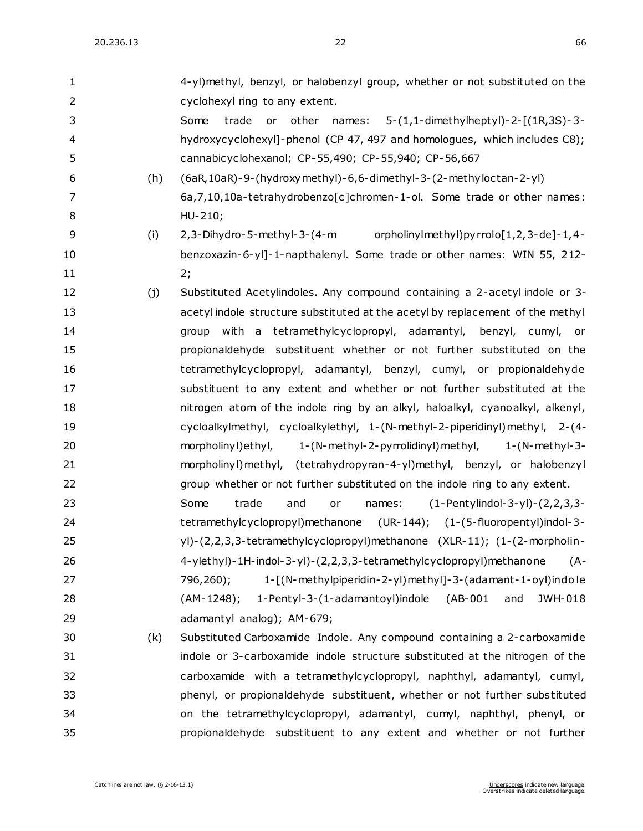| 1              |     | 4-yl)methyl, benzyl, or halobenzyl group, whether or not substituted on the     |
|----------------|-----|---------------------------------------------------------------------------------|
| $\overline{2}$ |     | cyclohexyl ring to any extent.                                                  |
| 3              |     | 5-(1,1-dimethylheptyl)-2-[(1R,3S)-3-<br>Some<br>trade<br>other<br>or<br>names:  |
| 4              |     | hydroxycyclohexyl]-phenol (CP 47, 497 and homologues, which includes C8);       |
| 5              |     | cannabicyclohexanol; CP-55,490; CP-55,940; CP-56,667                            |
| 6              | (h) | (6aR, 10aR) - 9- (hydroxy methyl) - 6, 6-dimethyl - 3- (2-methyloctan - 2-yl)   |
| $\overline{7}$ |     | 6a, 7, 10, 10a-tetrahydrobenzo[c]chromen-1-ol. Some trade or other names:       |
| 8              |     | HU-210;                                                                         |
| 9              | (i) | orpholinyImethyI)pyrrolo[1,2,3-de]-1,4-<br>2,3-Dihydro-5-methyl-3-(4-m          |
| 10             |     | benzoxazin-6-yl]-1-napthalenyl. Some trade or other names: WIN 55, 212-         |
| 11             |     | 2;                                                                              |
| 12             | (j) | Substituted Acetylindoles. Any compound containing a 2-acetyl indole or 3-      |
| 13             |     | acetyl indole structure substituted at the acetyl by replacement of the methyl  |
| 14             |     | group with a tetramethylcyclopropyl, adamantyl, benzyl, cumyl,<br>or            |
| 15             |     | propionaldehyde substituent whether or not further substituted on the           |
| 16             |     | tetramethylcyclopropyl, adamantyl, benzyl, cumyl, or propionaldehyde            |
| 17             |     | substituent to any extent and whether or not further substituted at the         |
| 18             |     | nitrogen atom of the indole ring by an alkyl, haloalkyl, cyanoalkyl, alkenyl,   |
| 19             |     | cycloalkylmethyl, cycloalkylethyl, 1-(N-methyl-2-piperidinyl)methyl, 2-(4-      |
| 20             |     | morpholiny l) ethyl,<br>1-(N-methyl-2-pyrrolidinyl) methyl,<br>$1-(N-methyl-3-$ |
| 21             |     | morpholinyl) methyl, (tetrahydropyran-4-yl) methyl, benzyl, or halobenzyl       |
| 22             |     | group whether or not further substituted on the indole ring to any extent.      |
| 23             |     | $(1-Pertylindol-3-yl)-(2,2,3,3-$<br>Some<br>trade<br>and<br>or<br>names:        |
| 24             |     | tetramethylcyclopropyl)methanone (UR-144); (1-(5-fluoropentyl)indol-3-          |
| 25             |     | yl)-(2,2,3,3-tetramethylcyclopropyl)methanone (XLR-11); (1-(2-morpholin-        |
| 26             |     | 4-ylethyl)-1H-indol-3-yl)-(2,2,3,3-tetramethylcyclopropyl)methanone<br>$(A -$   |
| 27             |     | 1-[(N-methylpiperidin-2-yl)methyl]-3-(adamant-1-oyl)indole<br>796,260);         |
| 28             |     | 1-Pentyl-3-(1-adamantoyl)indole (AB-001<br>and<br>JWH-018<br>(AM-1248);         |
| 29             |     | adamantyl analog); AM-679;                                                      |
| 30             | (k) | Substituted Carboxamide Indole. Any compound containing a 2-carboxamide         |
| 31             |     | indole or 3-carboxamide indole structure substituted at the nitrogen of the     |
| 32             |     | carboxamide with a tetramethylcyclopropyl, naphthyl, adamantyl, cumyl,          |
| 33             |     | phenyl, or propionaldehyde substituent, whether or not further substituted      |
| 34             |     | on the tetramethylcyclopropyl, adamantyl, cumyl, naphthyl, phenyl, or           |
| 35             |     | propionaldehyde substituent to any extent and whether or not further            |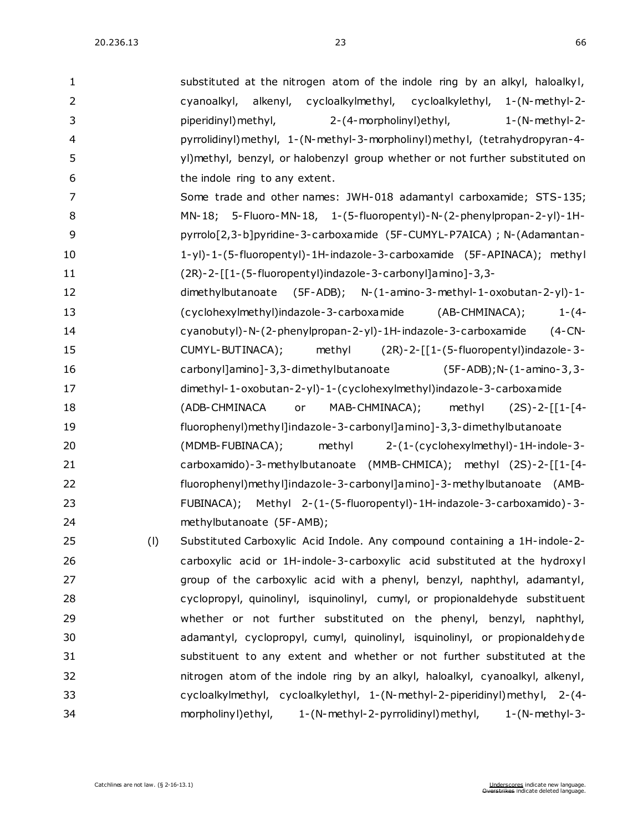| $\mathbf{1}$   |     | substituted at the nitrogen atom of the indole ring by an alkyl, haloalkyl,    |
|----------------|-----|--------------------------------------------------------------------------------|
| $\overline{2}$ |     | cycloalkylmethyl, cycloalkylethyl, 1-(N-methyl-2-<br>cyanoalkyl,<br>alkenyl,   |
| 3              |     | piperidinyl) methyl,<br>2-(4-morpholinyl) ethyl,<br>$1-(N-methyl-2-$           |
| 4              |     | pyrrolidinyl) methyl, 1-(N-methyl-3-morpholinyl) methyl, (tetrahydropyran-4-   |
| 5              |     | yl)methyl, benzyl, or halobenzyl group whether or not further substituted on   |
| 6              |     | the indole ring to any extent.                                                 |
| 7              |     | Some trade and other names: JWH-018 adamantyl carboxamide; STS-135;            |
| 8              |     | MN-18; 5-Fluoro-MN-18, 1-(5-fluoropentyl)-N-(2-phenylpropan-2-yl)-1H-          |
| 9              |     | pyrrolo[2,3-b]pyridine-3-carboxamide (5F-CUMYL-P7AICA); N-(Adamantan-          |
| 10             |     | 1-yl)-1-(5-fluoropentyl)-1H-indazole-3-carboxamide (5F-APINACA); methyl        |
| 11             |     | (2R)-2-[[1-(5-fluoropentyl)indazole-3-carbonyl]amino]-3,3-                     |
| 12             |     | dimethylbutanoate<br>$(5F-ADB);$ N- $(1-amino-3-methyl-1-oxobutan-2-yl)-1-$    |
| 13             |     | (AB-CHMINACA);<br>(cyclohexylmethyl)indazole-3-carboxamide<br>$1 - (4 -$       |
| 14             |     | cyanobutyl)-N-(2-phenylpropan-2-yl)-1H-indazole-3-carboxamide<br>$(4$ -CN-     |
| 15             |     | methyl (2R)-2-[[1-(5-fluoropentyl)indazole-3-<br>CUMYL-BUTINACA);              |
| 16             |     | carbonyl]amino]-3,3-dimethylbutanoate<br>$(5F-ADB)$ ; N- $(1-amino-3, 3-$      |
| 17             |     | dimethyl-1-oxobutan-2-yl)-1-(cyclohexylmethyl)indazole-3-carboxa mide          |
| 18             |     | (ADB-CHMINACA<br>MAB-CHMINACA);<br>methyl<br>or<br>$(2S)-2-[[1-[4-$            |
| 19             |     | fluorophenyl) methyl]indazole-3-carbonyl]amino]-3,3-dimethylbutanoate          |
| 20             |     | (MDMB-FUBINACA);<br>methyl<br>2-(1-(cyclohexylmethyl)-1H-indole-3-             |
| 21             |     | carboxamido)-3-methylbutanoate (MMB-CHMICA); methyl (2S)-2-[[1-[4-             |
| 22             |     | fluorophenyl)methyl]indazole-3-carbonyl]amino]-3-methylbutanoate (AMB-         |
| 23             |     | FUBINACA); Methyl 2-(1-(5-fluoropentyl)-1H-indazole-3-carboxamido)-3-          |
| 24             |     | methylbutanoate (5F-AMB);                                                      |
| 25             | (1) | Substituted Carboxylic Acid Indole. Any compound containing a 1H-indole-2-     |
| 26             |     | carboxylic acid or 1H-indole-3-carboxylic acid substituted at the hydroxyl     |
| 27             |     | group of the carboxylic acid with a phenyl, benzyl, naphthyl, adamantyl,       |
| 28             |     | cyclopropyl, quinolinyl, isquinolinyl, cumyl, or propionaldehyde substituent   |
| 29             |     | whether or not further substituted on the phenyl, benzyl, naphthyl,            |
| 30             |     | adamantyl, cyclopropyl, cumyl, quinolinyl, isquinolinyl, or propionaldehyde    |
| 31             |     | substituent to any extent and whether or not further substituted at the        |
| 32             |     | nitrogen atom of the indole ring by an alkyl, haloalkyl, cyanoalkyl, alkenyl,  |
| 33             |     | cycloalkylmethyl, cycloalkylethyl, 1-(N-methyl-2-piperidinyl)methyl, 2-(4-     |
| 34             |     | morpholinyl) ethyl,<br>1-(N-methyl-2-pyrrolidinyl) methyl,<br>$1-(N-methyl-3-$ |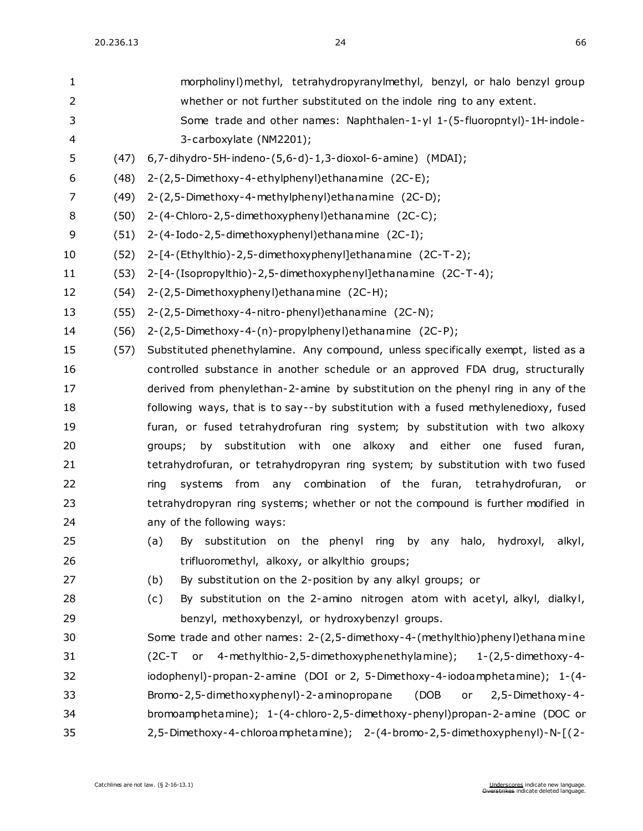| 1  |      | morpholinyl) methyl, tetrahydropyranylmethyl, benzyl, or halo benzyl group         |
|----|------|------------------------------------------------------------------------------------|
| 2  |      | whether or not further substituted on the indole ring to any extent.               |
| 3  |      | Some trade and other names: Naphthalen-1-yl 1-(5-fluoropntyl)-1H-indole-           |
| 4  |      | 3-carboxylate (NM2201);                                                            |
| 5  | (47) | $6, 7$ -dihydro-5H-indeno- $(5, 6$ -d)-1,3-dioxol-6-amine) (MDAI);                 |
| 6  | (48) | 2-(2,5-Dimethoxy-4-ethylphenyl) ethanamine (2C-E);                                 |
| 7  | (49) | 2-(2,5-Dimethoxy-4-methylphenyl) ethanamine (2C-D);                                |
| 8  | (50) | 2-(4-Chloro-2,5-dimethoxyphenyl) ethanamine (2C-C);                                |
| 9  | (51) | 2-(4-Iodo-2,5-dimethoxyphenyl) ethanamine (2C-I);                                  |
| 10 | (52) | 2-[4-(Ethylthio)-2,5-dimethoxyphenyl]ethanamine (2C-T-2);                          |
| 11 | (53) | 2-[4-(Isopropylthio)-2,5-dimethoxyphenyl]ethanamine (2C-T-4);                      |
| 12 | (54) | 2-(2,5-Dimethoxyphenyl) ethanamine (2C-H);                                         |
| 13 | (55) | 2-(2,5-Dimethoxy-4-nitro-phenyl) ethanamine (2C-N);                                |
| 14 | (56) | 2-(2,5-Dimethoxy-4-(n)-propylphenyl)ethanamine (2C-P);                             |
| 15 | (57) | Substituted phenethylamine. Any compound, unless specifically exempt, listed as a  |
| 16 |      | controlled substance in another schedule or an approved FDA drug, structurally     |
| 17 |      | derived from phenylethan-2-amine by substitution on the phenyl ring in any of the  |
| 18 |      | following ways, that is to say--by substitution with a fused methylenedioxy, fused |
| 19 |      | furan, or fused tetrahydrofuran ring system; by substitution with two alkoxy       |
| 20 |      | by substitution with one alkoxy and either one fused furan,<br>groups;             |
| 21 |      | tetrahydrofuran, or tetrahydropyran ring system; by substitution with two fused    |
| 22 |      | systems from any combination of the furan, tetrahydrofuran, or<br>ring             |
| 23 |      | tetrahydropyran ring systems; whether or not the compound is further modified in   |
| 24 |      | any of the following ways:                                                         |
| 25 |      | (a) By substitution on the phenyl ring by any halo, hydroxyl, alkyl,               |
| 26 |      | trifluoromethyl, alkoxy, or alkylthio groups;                                      |
| 27 |      | (b)<br>By substitution on the 2-position by any alkyl groups; or                   |
| 28 |      | By substitution on the 2-amino nitrogen atom with acetyl, alkyl, dialkyl,<br>(c)   |
| 29 |      | benzyl, methoxybenzyl, or hydroxybenzyl groups.                                    |
| 30 |      | Some trade and other names: 2-(2,5-dimethoxy-4-(methylthio)phenyl)ethana mine      |
| 31 |      | (2C-T or 4-methylthio-2,5-dimethoxyphenethylamine);<br>$1-(2,5-dimethoxy-4-$       |
| 32 |      | iodophenyl)-propan-2-amine (DOI or 2, 5-Dimethoxy-4-iodoamphetamine); 1-(4-        |
| 33 |      | Bromo-2,5-dimethoxyphenyl)-2-aminopropane<br>(DOB<br>2,5-Dimethoxy-4-<br>or        |
| 34 |      | bromoamphetamine); 1-(4-chloro-2,5-dimethoxy-phenyl)propan-2-amine (DOC or         |
| 35 |      | 2,5-Dimethoxy-4-chloroamphetamine); 2-(4-bromo-2,5-dimethoxyphenyl)-N-[(2-         |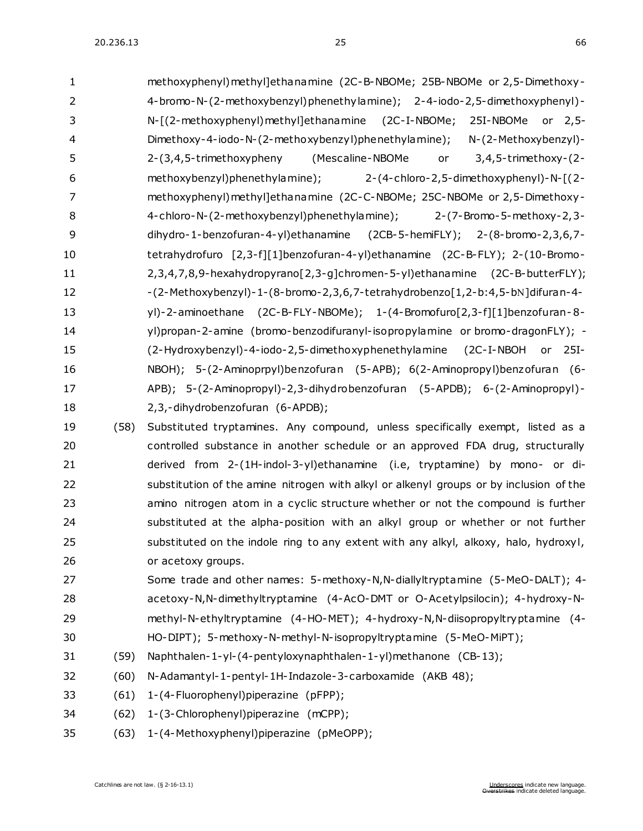| 1              |      | methoxyphenyl) methyl]ethanamine (2C-B-NBOMe; 25B-NBOMe or 2,5-Dimethoxy-        |
|----------------|------|----------------------------------------------------------------------------------|
| $\overline{2}$ |      | 4-bromo-N-(2-methoxybenzyl)phenethylamine); 2-4-iodo-2,5-dimethoxyphenyl)-       |
| 3              |      | N-[(2-methoxyphenyl)methyl]ethanamine (2C-I-NBOMe;<br>25I-NBOMe or 2,5-          |
| $\overline{4}$ |      | Dimethoxy-4-iodo-N-(2-methoxybenzyl)phenethylamine);<br>N-(2-Methoxybenzyl)-     |
| 5              |      | (Mescaline-NBOMe<br>$3,4,5$ -trimethoxy- $(2-$<br>2-(3,4,5-trimethoxypheny<br>or |
| 6              |      | methoxybenzyl)phenethylamine);<br>2-(4-chloro-2,5-dimethoxyphenyl)-N-[(2-        |
| 7              |      | methoxyphenyl) methyl]ethanamine (2C-C-NBOMe; 25C-NBOMe or 2,5-Dimethoxy-        |
| 8              |      | 4-chloro-N-(2-methoxybenzyl)phenethylamine); 2-(7-Bromo-5-methoxy-2,3-           |
| 9              |      | dihydro-1-benzofuran-4-yl)ethanamine (2CB-5-hemiFLY); 2-(8-bromo-2,3,6,7-        |
| 10             |      | tetrahydrofuro [2,3-f][1]benzofuran-4-yl)ethanamine (2C-B-FLY); 2-(10-Bromo-     |
| 11             |      | 2,3,4,7,8,9-hexahydropyrano[2,3-g]chromen-5-yl)ethanamine (2C-B-butterFLY);      |
| 12             |      | -(2-Methoxybenzyl)-1-(8-bromo-2,3,6,7-tetrahydrobenzo[1,2-b:4,5-bN]difuran-4-    |
| 13             |      | yl)-2-aminoethane (2C-B-FLY-NBOMe); 1-(4-Bromofuro[2,3-f][1]benzofuran-8-        |
| 14             |      | yl)propan-2-amine (bromo-benzodifuranyl-isopropylamine or bromo-dragonFLY); -    |
| 15             |      | (2-Hydroxybenzyl)-4-iodo-2,5-dimethoxyphenethylamine<br>(2C-I-NBOH<br>or $25I-$  |
| 16             |      | NBOH); 5-(2-Aminoprpyl)benzofuran (5-APB); 6(2-Aminopropyl)benzofuran (6-        |
| 17             |      | APB); 5-(2-Aminopropyl)-2,3-dihydrobenzofuran (5-APDB); 6-(2-Aminopropyl)-       |
| 18             |      | 2,3,-dihydrobenzofuran (6-APDB);                                                 |
| 19             | (58) | Substituted tryptamines. Any compound, unless specifically exempt, listed as a   |
| 20             |      | controlled substance in another schedule or an approved FDA drug, structurally   |
| 21             |      | derived from 2-(1H-indol-3-yl)ethanamine (i.e, tryptamine) by mono- or di-       |
|                |      |                                                                                  |

- substitution of the amine nitrogen with alkyl or alkenyl groups or by inclusion of the amino nitrogen atom in a cyclic structure whether or not the compound is further substituted at the alpha-position with an alkyl group or whether or not further substituted on the indole ring to any extent with any alkyl, alkoxy, halo, hydroxyl, or acetoxy groups.
- Some trade and other names: 5-methoxy-N,N-diallyltryptamine (5-MeO-DALT); 4- acetoxy-N,N-dimethyltryptamine (4-AcO-DMT or O-Acetylpsilocin); 4-hydroxy-N- methyl-N-ethyltryptamine (4-HO-MET); 4-hydroxy-N,N-diisopropyltryptamine (4- HO-DIPT); 5-methoxy-N-methyl-N-isopropyltryptamine (5-MeO-MiPT);
- (59) Naphthalen-1-yl-(4-pentyloxynaphthalen-1-yl)methanone (CB-13);
- (60) N-Adamantyl-1-pentyl-1H-Indazole-3-carboxamide (AKB 48);
- (61) 1-(4-Fluorophenyl)piperazine (pFPP);
- (62) 1-(3-Chlorophenyl)piperazine (mCPP);
- (63) 1-(4-Methoxyphenyl)piperazine (pMeOPP);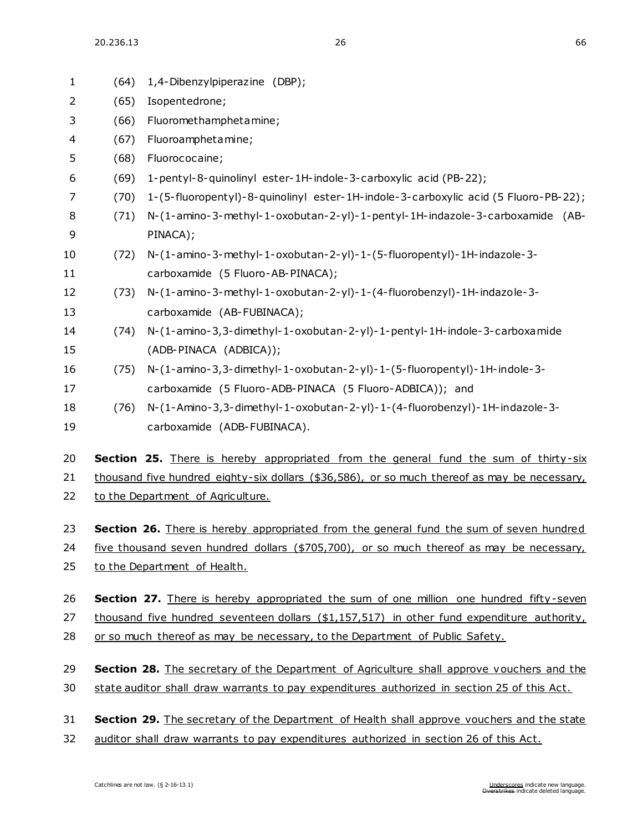20.236.13 26 66

| $\mathbf{1}$   | (64) | 1,4-Dibenzylpiperazine (DBP);                                                                  |  |  |
|----------------|------|------------------------------------------------------------------------------------------------|--|--|
| $\overline{2}$ | (65) | Isopentedrone;                                                                                 |  |  |
| 3              | (66) | Fluoromethamphetamine;                                                                         |  |  |
| 4              | (67) | Fluoroamphetamine;                                                                             |  |  |
| 5              | (68) | Fluorococaine;                                                                                 |  |  |
| 6              | (69) | 1-pentyl-8-quinolinyl ester-1H-indole-3-carboxylic acid (PB-22);                               |  |  |
| 7              | (70) | 1-(5-fluoropentyl)-8-quinolinyl ester-1H-indole-3-carboxylic acid (5 Fluoro-PB-22);            |  |  |
| 8              | (71) | N-(1-amino-3-methyl-1-oxobutan-2-yl)-1-pentyl-1H-indazole-3-carboxamide (AB-                   |  |  |
| 9              |      | PINACA);                                                                                       |  |  |
| 10             | (72) | N-(1-amino-3-methyl-1-oxobutan-2-yl)-1-(5-fluoropentyl)-1H-indazole-3-                         |  |  |
| 11             |      | carboxamide (5 Fluoro-AB-PINACA);                                                              |  |  |
| 12             | (73) | N-(1-amino-3-methyl-1-oxobutan-2-yl)-1-(4-fluorobenzyl)-1H-indazole-3-                         |  |  |
| 13             |      | carboxamide (AB-FUBINACA);                                                                     |  |  |
| 14             | (74) | N-(1-amino-3,3-dimethyl-1-oxobutan-2-yl)-1-pentyl-1H-indole-3-carboxamide                      |  |  |
| 15             |      | (ADB-PINACA (ADBICA));                                                                         |  |  |
| 16             | (75) | N-(1-amino-3,3-dimethyl-1-oxobutan-2-yl)-1-(5-fluoropentyl)-1H-indole-3-                       |  |  |
| 17             |      | carboxamide (5 Fluoro-ADB-PINACA (5 Fluoro-ADBICA)); and                                       |  |  |
| 18             | (76) | N-(1-Amino-3,3-dimethyl-1-oxobutan-2-yl)-1-(4-fluorobenzyl)-1H-indazole-3-                     |  |  |
| 19             |      | carboxamide (ADB-FUBINACA).                                                                    |  |  |
|                |      |                                                                                                |  |  |
| 20             |      | <b>Section 25.</b> There is hereby appropriated from the general fund the sum of thirty-six    |  |  |
| 21             |      | thousand five hundred eighty-six dollars (\$36,586), or so much thereof as may be necessary,   |  |  |
| 22             |      | to the Department of Agriculture.                                                              |  |  |
| 23             |      | Section 26. There is hereby appropriated from the general fund the sum of seven hundred        |  |  |
| 24             |      | five thousand seven hundred dollars (\$705,700), or so much thereof as may be necessary,       |  |  |
| 25             |      | to the Department of Health.                                                                   |  |  |
|                |      |                                                                                                |  |  |
| 26             |      | <b>Section 27.</b> There is hereby appropriated the sum of one million one hundred fifty-seven |  |  |
| 27             |      | thousand five hundred seventeen dollars (\$1,157,517) in other fund expenditure authority,     |  |  |
| 28             |      | or so much thereof as may be necessary, to the Department of Public Safety.                    |  |  |
|                |      |                                                                                                |  |  |
| 29             |      | Section 28. The secretary of the Department of Agriculture shall approve vouchers and the      |  |  |
| 30             |      | state auditor shall draw warrants to pay expenditures authorized in section 25 of this Act.    |  |  |
| 31             |      | Section 29. The secretary of the Department of Health shall approve vouchers and the state     |  |  |
| 32             |      | auditor shall draw warrants to pay expenditures authorized in section 26 of this Act.          |  |  |